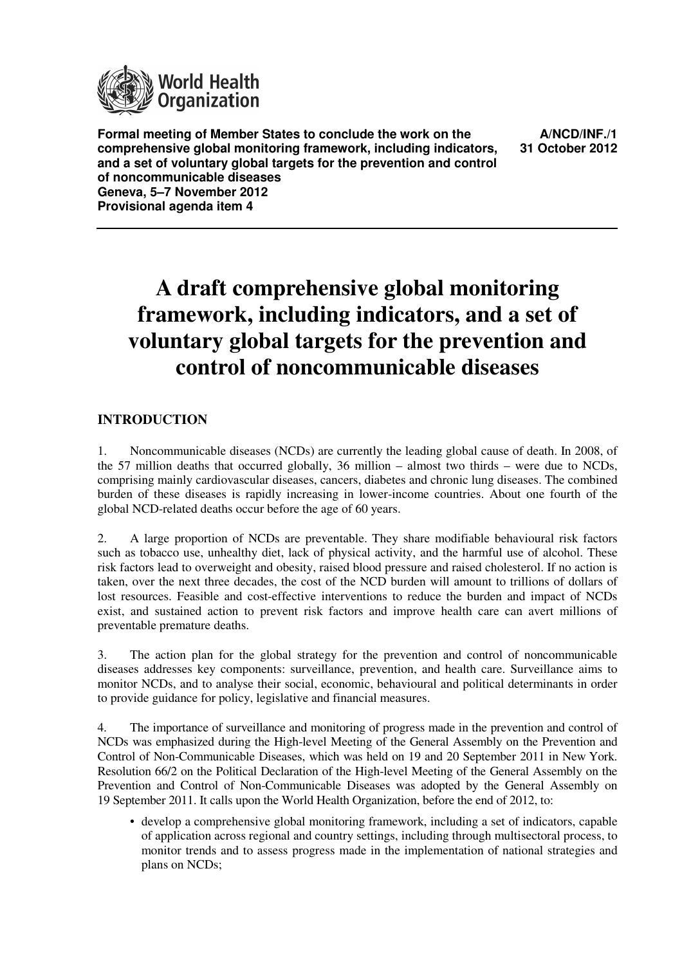

**Formal meeting of Member States to conclude the work on the comprehensive global monitoring framework, including indicators, and a set of voluntary global targets for the prevention and control of noncommunicable diseases Geneva, 5–7 November 2012 Provisional agenda item 4**

**A/NCD/INF./1 31 October 2012**

# **A draft comprehensive global monitoring framework, including indicators, and a set of voluntary global targets for the prevention and control of noncommunicable diseases**

# **INTRODUCTION**

1. Noncommunicable diseases (NCDs) are currently the leading global cause of death. In 2008, of the 57 million deaths that occurred globally, 36 million – almost two thirds – were due to NCDs, comprising mainly cardiovascular diseases, cancers, diabetes and chronic lung diseases. The combined burden of these diseases is rapidly increasing in lower-income countries. About one fourth of the global NCD-related deaths occur before the age of 60 years.

2. A large proportion of NCDs are preventable. They share modifiable behavioural risk factors such as tobacco use, unhealthy diet, lack of physical activity, and the harmful use of alcohol. These risk factors lead to overweight and obesity, raised blood pressure and raised cholesterol. If no action is taken, over the next three decades, the cost of the NCD burden will amount to trillions of dollars of lost resources. Feasible and cost-effective interventions to reduce the burden and impact of NCDs exist, and sustained action to prevent risk factors and improve health care can avert millions of preventable premature deaths.

3. The action plan for the global strategy for the prevention and control of noncommunicable diseases addresses key components: surveillance, prevention, and health care. Surveillance aims to monitor NCDs, and to analyse their social, economic, behavioural and political determinants in order to provide guidance for policy, legislative and financial measures.

4. The importance of surveillance and monitoring of progress made in the prevention and control of NCDs was emphasized during the High-level Meeting of the General Assembly on the Prevention and Control of Non-Communicable Diseases, which was held on 19 and 20 September 2011 in New York. Resolution 66/2 on the Political Declaration of the High-level Meeting of the General Assembly on the Prevention and Control of Non-Communicable Diseases was adopted by the General Assembly on 19 September 2011. It calls upon the World Health Organization, before the end of 2012, to:

• develop a comprehensive global monitoring framework, including a set of indicators, capable of application across regional and country settings, including through multisectoral process, to monitor trends and to assess progress made in the implementation of national strategies and plans on NCDs;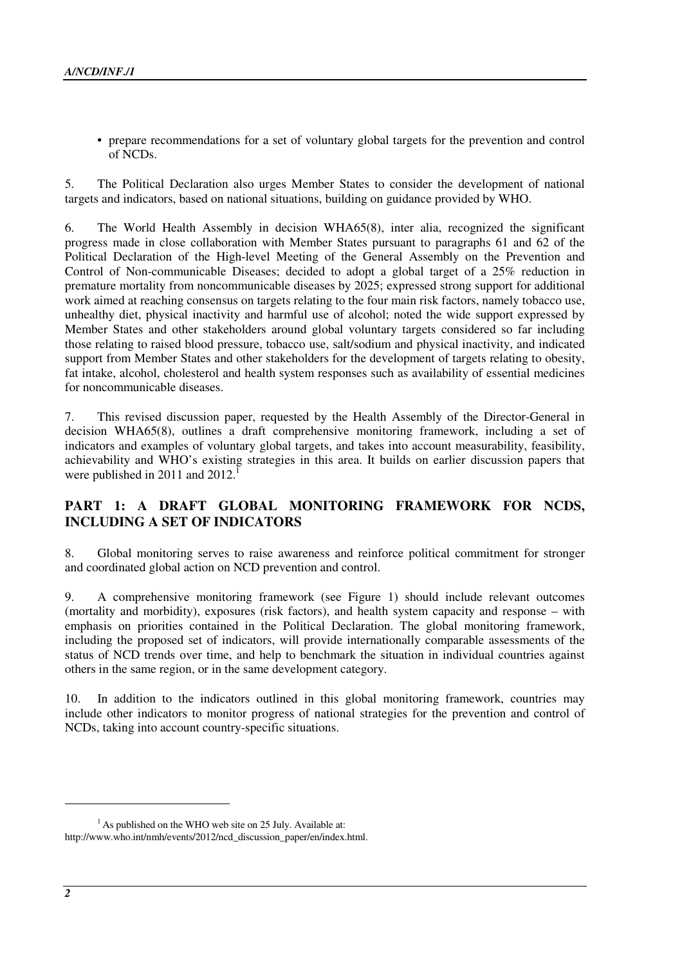• prepare recommendations for a set of voluntary global targets for the prevention and control of NCDs.

5. The Political Declaration also urges Member States to consider the development of national targets and indicators, based on national situations, building on guidance provided by WHO.

6. The World Health Assembly in decision WHA65(8), inter alia, recognized the significant progress made in close collaboration with Member States pursuant to paragraphs 61 and 62 of the Political Declaration of the High-level Meeting of the General Assembly on the Prevention and Control of Non-communicable Diseases; decided to adopt a global target of a 25% reduction in premature mortality from noncommunicable diseases by 2025; expressed strong support for additional work aimed at reaching consensus on targets relating to the four main risk factors, namely tobacco use, unhealthy diet, physical inactivity and harmful use of alcohol; noted the wide support expressed by Member States and other stakeholders around global voluntary targets considered so far including those relating to raised blood pressure, tobacco use, salt/sodium and physical inactivity, and indicated support from Member States and other stakeholders for the development of targets relating to obesity, fat intake, alcohol, cholesterol and health system responses such as availability of essential medicines for noncommunicable diseases.

7. This revised discussion paper, requested by the Health Assembly of the Director-General in decision WHA65(8), outlines a draft comprehensive monitoring framework, including a set of indicators and examples of voluntary global targets, and takes into account measurability, feasibility, achievability and WHO's existing strategies in this area. It builds on earlier discussion papers that were published in 2011 and  $2012$ .<sup>1</sup>

# **PART 1: A DRAFT GLOBAL MONITORING FRAMEWORK FOR NCDS, INCLUDING A SET OF INDICATORS**

8. Global monitoring serves to raise awareness and reinforce political commitment for stronger and coordinated global action on NCD prevention and control.

9. A comprehensive monitoring framework (see Figure 1) should include relevant outcomes (mortality and morbidity), exposures (risk factors), and health system capacity and response – with emphasis on priorities contained in the Political Declaration. The global monitoring framework, including the proposed set of indicators, will provide internationally comparable assessments of the status of NCD trends over time, and help to benchmark the situation in individual countries against others in the same region, or in the same development category.

10. In addition to the indicators outlined in this global monitoring framework, countries may include other indicators to monitor progress of national strategies for the prevention and control of NCDs, taking into account country-specific situations.

 $\overline{a}$ 

 $<sup>1</sup>$  As published on the WHO web site on 25 July. Available at:</sup> http://www.who.int/nmh/events/2012/ncd\_discussion\_paper/en/index.html.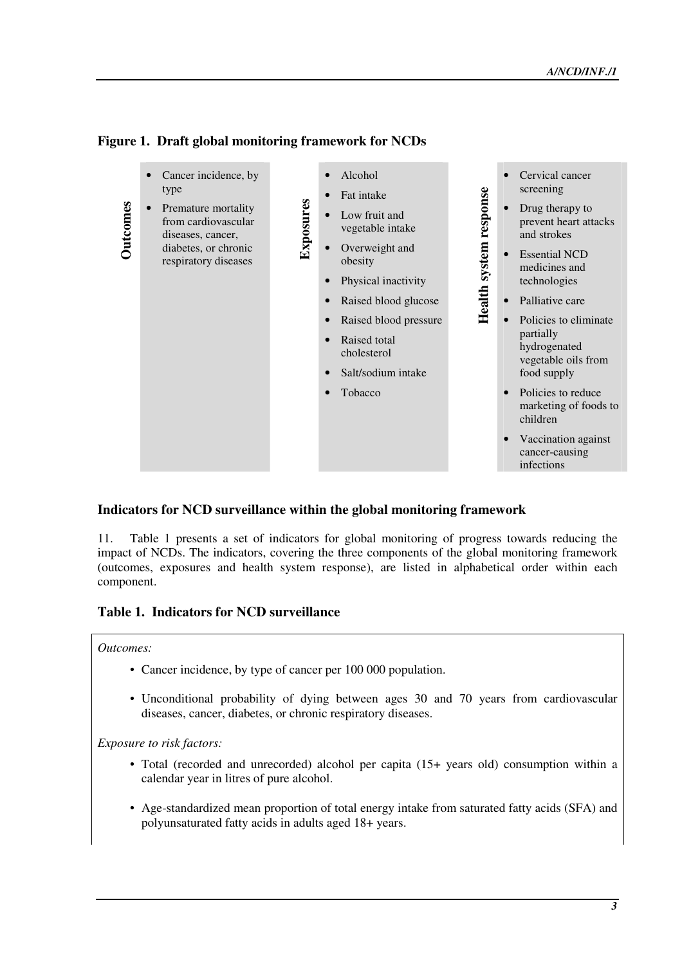

# **Figure 1. Draft global monitoring framework for NCDs**

# **Indicators for NCD surveillance within the global monitoring framework**

11. Table 1 presents a set of indicators for global monitoring of progress towards reducing the impact of NCDs. The indicators, covering the three components of the global monitoring framework (outcomes, exposures and health system response), are listed in alphabetical order within each component.

# **Table 1. Indicators for NCD surveillance**

#### *Outcomes:*

- Cancer incidence, by type of cancer per 100 000 population.
- Unconditional probability of dying between ages 30 and 70 years from cardiovascular diseases, cancer, diabetes, or chronic respiratory diseases.

*Exposure to risk factors:* 

- Total (recorded and unrecorded) alcohol per capita (15+ years old) consumption within a calendar year in litres of pure alcohol.
- Age-standardized mean proportion of total energy intake from saturated fatty acids (SFA) and polyunsaturated fatty acids in adults aged 18+ years.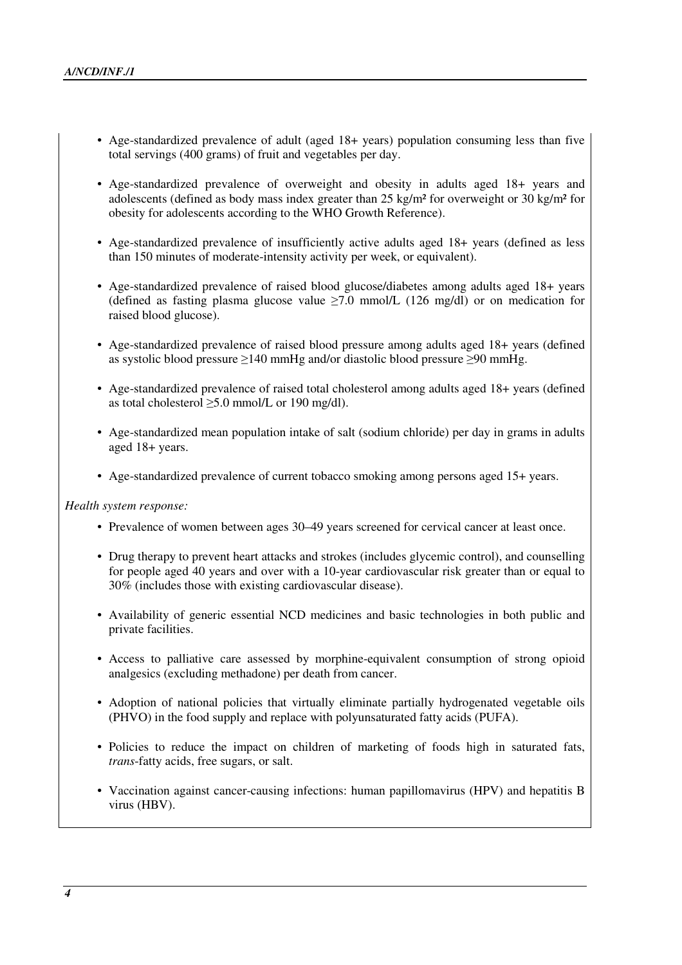- Age-standardized prevalence of adult (aged 18+ years) population consuming less than five total servings (400 grams) of fruit and vegetables per day.
- Age-standardized prevalence of overweight and obesity in adults aged 18+ years and adolescents (defined as body mass index greater than 25 kg/m² for overweight or 30 kg/m² for obesity for adolescents according to the WHO Growth Reference).
- Age-standardized prevalence of insufficiently active adults aged 18+ years (defined as less than 150 minutes of moderate-intensity activity per week, or equivalent).
- Age-standardized prevalence of raised blood glucose/diabetes among adults aged 18+ years (defined as fasting plasma glucose value  $\geq 7.0$  mmol/L (126 mg/dl) or on medication for raised blood glucose).
- Age-standardized prevalence of raised blood pressure among adults aged 18+ years (defined as systolic blood pressure  $\geq$ 140 mmHg and/or diastolic blood pressure  $\geq$ 90 mmHg.
- Age-standardized prevalence of raised total cholesterol among adults aged 18+ years (defined as total cholesterol  $\geq 5.0$  mmol/L or 190 mg/dl).
- Age-standardized mean population intake of salt (sodium chloride) per day in grams in adults aged 18+ years.
- Age-standardized prevalence of current tobacco smoking among persons aged 15+ years.

*Health system response:* 

- Prevalence of women between ages 30–49 years screened for cervical cancer at least once.
- Drug therapy to prevent heart attacks and strokes (includes glycemic control), and counselling for people aged 40 years and over with a 10-year cardiovascular risk greater than or equal to 30% (includes those with existing cardiovascular disease).
- Availability of generic essential NCD medicines and basic technologies in both public and private facilities.
- Access to palliative care assessed by morphine-equivalent consumption of strong opioid analgesics (excluding methadone) per death from cancer.
- Adoption of national policies that virtually eliminate partially hydrogenated vegetable oils (PHVO) in the food supply and replace with polyunsaturated fatty acids (PUFA).
- Policies to reduce the impact on children of marketing of foods high in saturated fats, *trans*-fatty acids, free sugars, or salt.
- Vaccination against cancer-causing infections: human papillomavirus (HPV) and hepatitis B virus (HBV).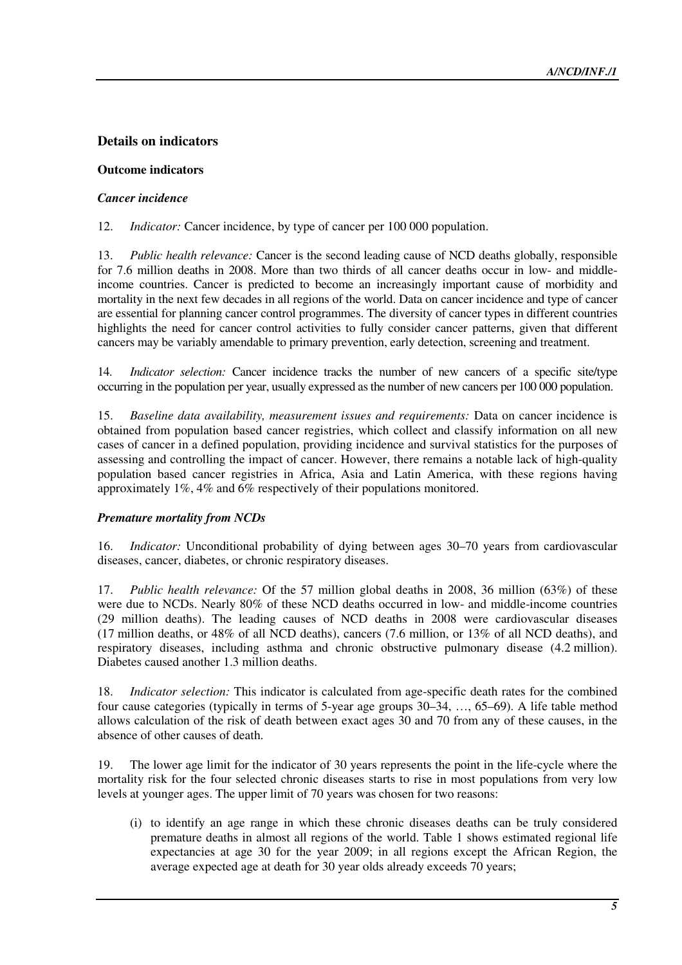# **Details on indicators**

# **Outcome indicators**

# *Cancer incidence*

12. *Indicator:* Cancer incidence, by type of cancer per 100 000 population.

13. *Public health relevance:* Cancer is the second leading cause of NCD deaths globally, responsible for 7.6 million deaths in 2008. More than two thirds of all cancer deaths occur in low- and middleincome countries. Cancer is predicted to become an increasingly important cause of morbidity and mortality in the next few decades in all regions of the world. Data on cancer incidence and type of cancer are essential for planning cancer control programmes. The diversity of cancer types in different countries highlights the need for cancer control activities to fully consider cancer patterns, given that different cancers may be variably amendable to primary prevention, early detection, screening and treatment.

14. *Indicator selection:* Cancer incidence tracks the number of new cancers of a specific site/type occurring in the population per year, usually expressed as the number of new cancers per 100 000 population.

15. *Baseline data availability, measurement issues and requirements:* Data on cancer incidence is obtained from population based cancer registries, which collect and classify information on all new cases of cancer in a defined population, providing incidence and survival statistics for the purposes of assessing and controlling the impact of cancer. However, there remains a notable lack of high-quality population based cancer registries in Africa, Asia and Latin America, with these regions having approximately 1%, 4% and 6% respectively of their populations monitored.

# *Premature mortality from NCDs*

16. *Indicator:* Unconditional probability of dying between ages 30–70 years from cardiovascular diseases, cancer, diabetes, or chronic respiratory diseases.

17. *Public health relevance:* Of the 57 million global deaths in 2008, 36 million (63%) of these were due to NCDs. Nearly 80% of these NCD deaths occurred in low- and middle-income countries (29 million deaths). The leading causes of NCD deaths in 2008 were cardiovascular diseases (17 million deaths, or 48% of all NCD deaths), cancers (7.6 million, or 13% of all NCD deaths), and respiratory diseases, including asthma and chronic obstructive pulmonary disease (4.2 million). Diabetes caused another 1.3 million deaths.

18. *Indicator selection:* This indicator is calculated from age-specific death rates for the combined four cause categories (typically in terms of 5-year age groups 30–34, …, 65–69). A life table method allows calculation of the risk of death between exact ages 30 and 70 from any of these causes, in the absence of other causes of death.

19. The lower age limit for the indicator of 30 years represents the point in the life-cycle where the mortality risk for the four selected chronic diseases starts to rise in most populations from very low levels at younger ages. The upper limit of 70 years was chosen for two reasons:

(i) to identify an age range in which these chronic diseases deaths can be truly considered premature deaths in almost all regions of the world. Table 1 shows estimated regional life expectancies at age 30 for the year 2009; in all regions except the African Region, the average expected age at death for 30 year olds already exceeds 70 years;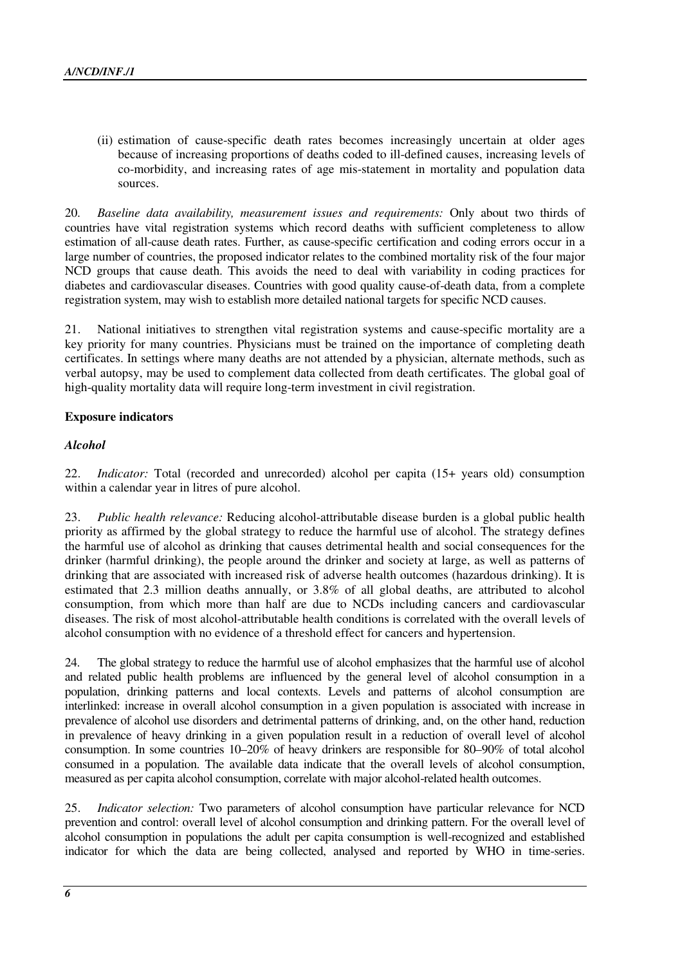(ii) estimation of cause-specific death rates becomes increasingly uncertain at older ages because of increasing proportions of deaths coded to ill-defined causes, increasing levels of co-morbidity, and increasing rates of age mis-statement in mortality and population data sources.

20. *Baseline data availability, measurement issues and requirements:* Only about two thirds of countries have vital registration systems which record deaths with sufficient completeness to allow estimation of all-cause death rates. Further, as cause-specific certification and coding errors occur in a large number of countries, the proposed indicator relates to the combined mortality risk of the four major NCD groups that cause death. This avoids the need to deal with variability in coding practices for diabetes and cardiovascular diseases. Countries with good quality cause-of-death data, from a complete registration system, may wish to establish more detailed national targets for specific NCD causes.

21. National initiatives to strengthen vital registration systems and cause-specific mortality are a key priority for many countries. Physicians must be trained on the importance of completing death certificates. In settings where many deaths are not attended by a physician, alternate methods, such as verbal autopsy, may be used to complement data collected from death certificates. The global goal of high-quality mortality data will require long-term investment in civil registration.

#### **Exposure indicators**

#### *Alcohol*

22. *Indicator:* Total (recorded and unrecorded) alcohol per capita (15+ years old) consumption within a calendar year in litres of pure alcohol.

23. *Public health relevance:* Reducing alcohol-attributable disease burden is a global public health priority as affirmed by the global strategy to reduce the harmful use of alcohol. The strategy defines the harmful use of alcohol as drinking that causes detrimental health and social consequences for the drinker (harmful drinking), the people around the drinker and society at large, as well as patterns of drinking that are associated with increased risk of adverse health outcomes (hazardous drinking). It is estimated that 2.3 million deaths annually, or 3.8% of all global deaths, are attributed to alcohol consumption, from which more than half are due to NCDs including cancers and cardiovascular diseases. The risk of most alcohol-attributable health conditions is correlated with the overall levels of alcohol consumption with no evidence of a threshold effect for cancers and hypertension.

24. The global strategy to reduce the harmful use of alcohol emphasizes that the harmful use of alcohol and related public health problems are influenced by the general level of alcohol consumption in a population, drinking patterns and local contexts. Levels and patterns of alcohol consumption are interlinked: increase in overall alcohol consumption in a given population is associated with increase in prevalence of alcohol use disorders and detrimental patterns of drinking, and, on the other hand, reduction in prevalence of heavy drinking in a given population result in a reduction of overall level of alcohol consumption. In some countries 10–20% of heavy drinkers are responsible for 80–90% of total alcohol consumed in a population. The available data indicate that the overall levels of alcohol consumption, measured as per capita alcohol consumption, correlate with major alcohol-related health outcomes.

25. *Indicator selection:* Two parameters of alcohol consumption have particular relevance for NCD prevention and control: overall level of alcohol consumption and drinking pattern. For the overall level of alcohol consumption in populations the adult per capita consumption is well-recognized and established indicator for which the data are being collected, analysed and reported by WHO in time-series.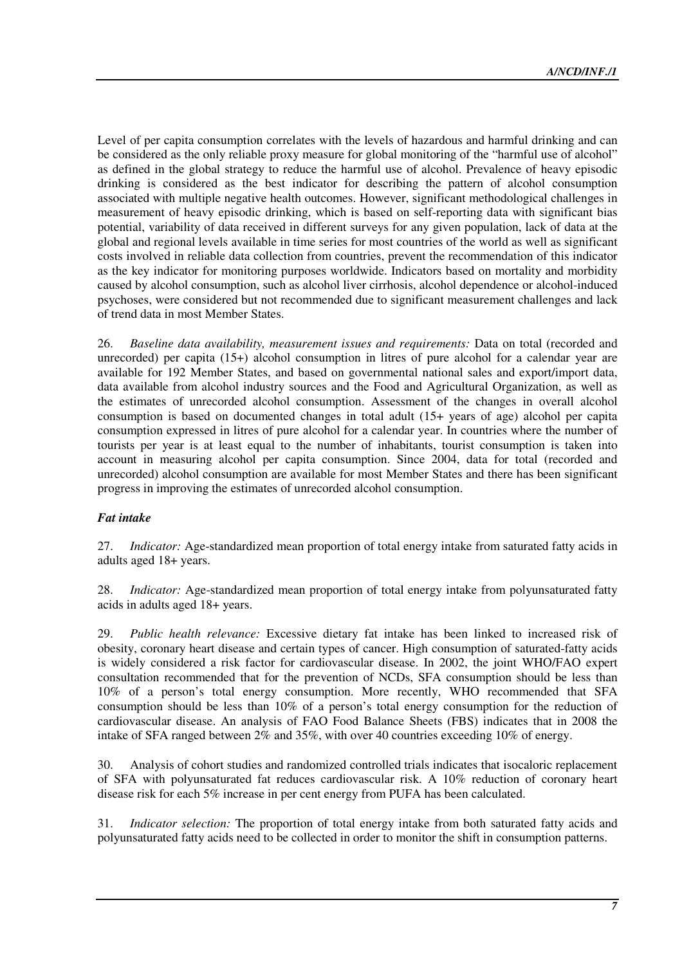Level of per capita consumption correlates with the levels of hazardous and harmful drinking and can be considered as the only reliable proxy measure for global monitoring of the "harmful use of alcohol" as defined in the global strategy to reduce the harmful use of alcohol. Prevalence of heavy episodic drinking is considered as the best indicator for describing the pattern of alcohol consumption associated with multiple negative health outcomes. However, significant methodological challenges in measurement of heavy episodic drinking, which is based on self-reporting data with significant bias potential, variability of data received in different surveys for any given population, lack of data at the global and regional levels available in time series for most countries of the world as well as significant costs involved in reliable data collection from countries, prevent the recommendation of this indicator as the key indicator for monitoring purposes worldwide. Indicators based on mortality and morbidity caused by alcohol consumption, such as alcohol liver cirrhosis, alcohol dependence or alcohol-induced psychoses, were considered but not recommended due to significant measurement challenges and lack of trend data in most Member States.

26. *Baseline data availability, measurement issues and requirements:* Data on total (recorded and unrecorded) per capita (15+) alcohol consumption in litres of pure alcohol for a calendar year are available for 192 Member States, and based on governmental national sales and export/import data, data available from alcohol industry sources and the Food and Agricultural Organization, as well as the estimates of unrecorded alcohol consumption. Assessment of the changes in overall alcohol consumption is based on documented changes in total adult (15+ years of age) alcohol per capita consumption expressed in litres of pure alcohol for a calendar year. In countries where the number of tourists per year is at least equal to the number of inhabitants, tourist consumption is taken into account in measuring alcohol per capita consumption. Since 2004, data for total (recorded and unrecorded) alcohol consumption are available for most Member States and there has been significant progress in improving the estimates of unrecorded alcohol consumption.

# *Fat intake*

27. *Indicator:* Age-standardized mean proportion of total energy intake from saturated fatty acids in adults aged 18+ years.

28. *Indicator:* Age-standardized mean proportion of total energy intake from polyunsaturated fatty acids in adults aged 18+ years.

29. *Public health relevance:* Excessive dietary fat intake has been linked to increased risk of obesity, coronary heart disease and certain types of cancer. High consumption of saturated-fatty acids is widely considered a risk factor for cardiovascular disease. In 2002, the joint WHO/FAO expert consultation recommended that for the prevention of NCDs, SFA consumption should be less than 10% of a person's total energy consumption. More recently, WHO recommended that SFA consumption should be less than 10% of a person's total energy consumption for the reduction of cardiovascular disease. An analysis of FAO Food Balance Sheets (FBS) indicates that in 2008 the intake of SFA ranged between 2% and 35%, with over 40 countries exceeding 10% of energy.

30. Analysis of cohort studies and randomized controlled trials indicates that isocaloric replacement of SFA with polyunsaturated fat reduces cardiovascular risk. A 10% reduction of coronary heart disease risk for each 5% increase in per cent energy from PUFA has been calculated.

31. *Indicator selection:* The proportion of total energy intake from both saturated fatty acids and polyunsaturated fatty acids need to be collected in order to monitor the shift in consumption patterns.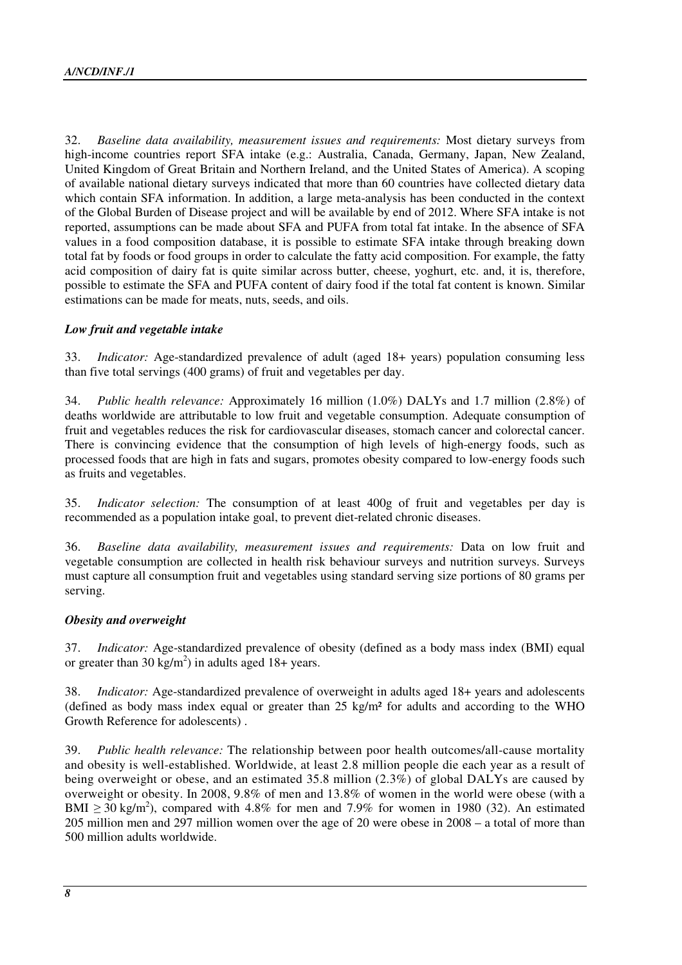32. *Baseline data availability, measurement issues and requirements:* Most dietary surveys from high-income countries report SFA intake (e.g.: Australia, Canada, Germany, Japan, New Zealand, United Kingdom of Great Britain and Northern Ireland, and the United States of America). A scoping of available national dietary surveys indicated that more than 60 countries have collected dietary data which contain SFA information. In addition, a large meta-analysis has been conducted in the context of the Global Burden of Disease project and will be available by end of 2012. Where SFA intake is not reported, assumptions can be made about SFA and PUFA from total fat intake. In the absence of SFA values in a food composition database, it is possible to estimate SFA intake through breaking down total fat by foods or food groups in order to calculate the fatty acid composition. For example, the fatty acid composition of dairy fat is quite similar across butter, cheese, yoghurt, etc. and, it is, therefore, possible to estimate the SFA and PUFA content of dairy food if the total fat content is known. Similar estimations can be made for meats, nuts, seeds, and oils.

#### *Low fruit and vegetable intake*

33. *Indicator:* Age-standardized prevalence of adult (aged 18+ years) population consuming less than five total servings (400 grams) of fruit and vegetables per day.

34. *Public health relevance:* Approximately 16 million (1.0%) DALYs and 1.7 million (2.8%) of deaths worldwide are attributable to low fruit and vegetable consumption. Adequate consumption of fruit and vegetables reduces the risk for cardiovascular diseases, stomach cancer and colorectal cancer. There is convincing evidence that the consumption of high levels of high-energy foods, such as processed foods that are high in fats and sugars, promotes obesity compared to low-energy foods such as fruits and vegetables.

35. *Indicator selection:* The consumption of at least 400g of fruit and vegetables per day is recommended as a population intake goal, to prevent diet-related chronic diseases.

36. *Baseline data availability, measurement issues and requirements:* Data on low fruit and vegetable consumption are collected in health risk behaviour surveys and nutrition surveys. Surveys must capture all consumption fruit and vegetables using standard serving size portions of 80 grams per serving.

# *Obesity and overweight*

37. *Indicator:* Age-standardized prevalence of obesity (defined as a body mass index (BMI) equal or greater than 30 kg/m<sup>2</sup>) in adults aged 18+ years.

38. *Indicator:* Age-standardized prevalence of overweight in adults aged 18+ years and adolescents (defined as body mass index equal or greater than  $25 \text{ kg/m}^2$  for adults and according to the WHO Growth Reference for adolescents) .

39. *Public health relevance:* The relationship between poor health outcomes/all-cause mortality and obesity is well-established. Worldwide, at least 2.8 million people die each year as a result of being overweight or obese, and an estimated 35.8 million (2.3%) of global DALYs are caused by overweight or obesity. In 2008, 9.8% of men and 13.8% of women in the world were obese (with a BMI  $\geq$  30 kg/m<sup>2</sup>), compared with 4.8% for men and 7.9% for women in 1980 (32). An estimated 205 million men and 297 million women over the age of 20 were obese in 2008 – a total of more than 500 million adults worldwide.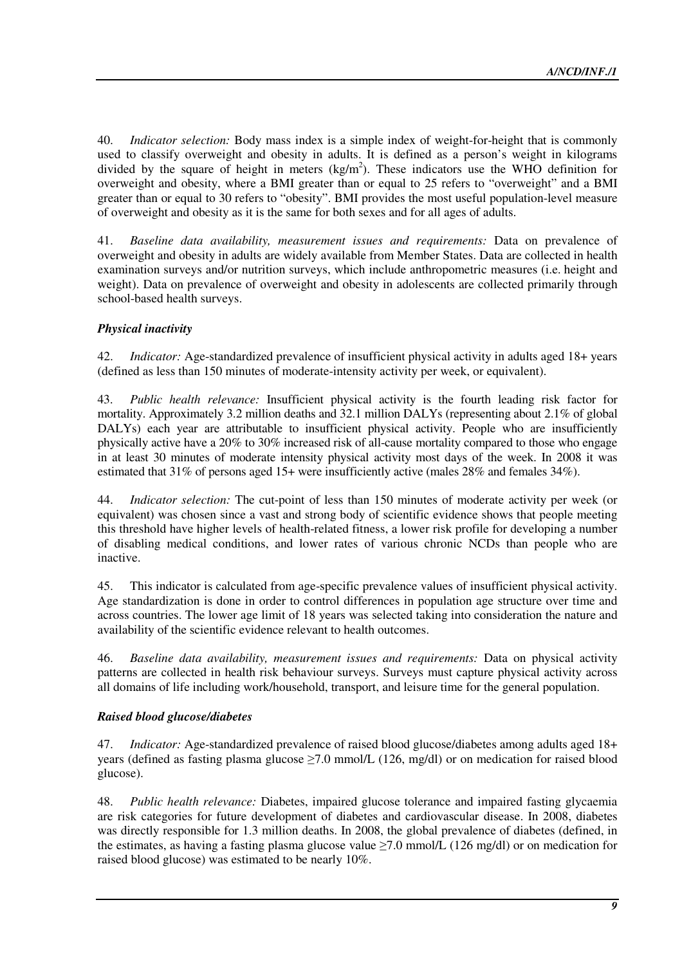40. *Indicator selection:* Body mass index is a simple index of weight-for-height that is commonly used to classify overweight and obesity in adults. It is defined as a person's weight in kilograms divided by the square of height in meters  $(kg/m<sup>2</sup>)$ . These indicators use the WHO definition for overweight and obesity, where a BMI greater than or equal to 25 refers to "overweight" and a BMI greater than or equal to 30 refers to "obesity". BMI provides the most useful population-level measure of overweight and obesity as it is the same for both sexes and for all ages of adults.

41. *Baseline data availability, measurement issues and requirements:* Data on prevalence of overweight and obesity in adults are widely available from Member States. Data are collected in health examination surveys and/or nutrition surveys, which include anthropometric measures (i.e. height and weight). Data on prevalence of overweight and obesity in adolescents are collected primarily through school-based health surveys.

# *Physical inactivity*

42. *Indicator:* Age-standardized prevalence of insufficient physical activity in adults aged 18+ years (defined as less than 150 minutes of moderate-intensity activity per week, or equivalent).

43. *Public health relevance:* Insufficient physical activity is the fourth leading risk factor for mortality. Approximately 3.2 million deaths and 32.1 million DALYs (representing about 2.1% of global DALYs) each year are attributable to insufficient physical activity. People who are insufficiently physically active have a 20% to 30% increased risk of all-cause mortality compared to those who engage in at least 30 minutes of moderate intensity physical activity most days of the week. In 2008 it was estimated that 31% of persons aged 15+ were insufficiently active (males 28% and females 34%).

44. *Indicator selection:* The cut-point of less than 150 minutes of moderate activity per week (or equivalent) was chosen since a vast and strong body of scientific evidence shows that people meeting this threshold have higher levels of health-related fitness, a lower risk profile for developing a number of disabling medical conditions, and lower rates of various chronic NCDs than people who are inactive.

45. This indicator is calculated from age-specific prevalence values of insufficient physical activity. Age standardization is done in order to control differences in population age structure over time and across countries. The lower age limit of 18 years was selected taking into consideration the nature and availability of the scientific evidence relevant to health outcomes.

46. *Baseline data availability, measurement issues and requirements:* Data on physical activity patterns are collected in health risk behaviour surveys. Surveys must capture physical activity across all domains of life including work/household, transport, and leisure time for the general population.

# *Raised blood glucose/diabetes*

47. *Indicator:* Age-standardized prevalence of raised blood glucose/diabetes among adults aged 18+ years (defined as fasting plasma glucose ≥7.0 mmol/L (126, mg/dl) or on medication for raised blood glucose).

48. *Public health relevance:* Diabetes, impaired glucose tolerance and impaired fasting glycaemia are risk categories for future development of diabetes and cardiovascular disease. In 2008, diabetes was directly responsible for 1.3 million deaths. In 2008, the global prevalence of diabetes (defined, in the estimates, as having a fasting plasma glucose value  $\geq 7.0$  mmol/L (126 mg/dl) or on medication for raised blood glucose) was estimated to be nearly 10%.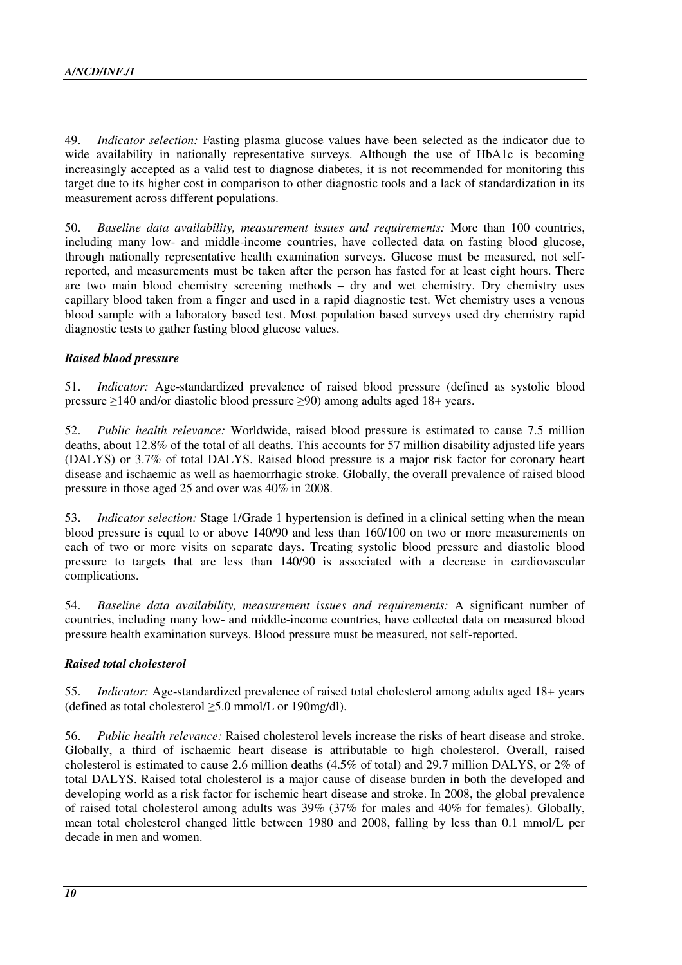49. *Indicator selection:* Fasting plasma glucose values have been selected as the indicator due to wide availability in nationally representative surveys. Although the use of HbA1c is becoming increasingly accepted as a valid test to diagnose diabetes, it is not recommended for monitoring this target due to its higher cost in comparison to other diagnostic tools and a lack of standardization in its measurement across different populations.

50. *Baseline data availability, measurement issues and requirements:* More than 100 countries, including many low- and middle-income countries, have collected data on fasting blood glucose, through nationally representative health examination surveys. Glucose must be measured, not selfreported, and measurements must be taken after the person has fasted for at least eight hours. There are two main blood chemistry screening methods – dry and wet chemistry. Dry chemistry uses capillary blood taken from a finger and used in a rapid diagnostic test. Wet chemistry uses a venous blood sample with a laboratory based test. Most population based surveys used dry chemistry rapid diagnostic tests to gather fasting blood glucose values.

# *Raised blood pressure*

51. *Indicator:* Age-standardized prevalence of raised blood pressure (defined as systolic blood pressure ≥140 and/or diastolic blood pressure ≥90) among adults aged 18+ years.

52. *Public health relevance:* Worldwide, raised blood pressure is estimated to cause 7.5 million deaths, about 12.8% of the total of all deaths. This accounts for 57 million disability adjusted life years (DALYS) or 3.7% of total DALYS. Raised blood pressure is a major risk factor for coronary heart disease and ischaemic as well as haemorrhagic stroke. Globally, the overall prevalence of raised blood pressure in those aged 25 and over was 40% in 2008.

53. *Indicator selection:* Stage 1/Grade 1 hypertension is defined in a clinical setting when the mean blood pressure is equal to or above 140/90 and less than 160/100 on two or more measurements on each of two or more visits on separate days. Treating systolic blood pressure and diastolic blood pressure to targets that are less than 140/90 is associated with a decrease in cardiovascular complications.

54. *Baseline data availability, measurement issues and requirements:* A significant number of countries, including many low- and middle-income countries, have collected data on measured blood pressure health examination surveys. Blood pressure must be measured, not self-reported.

# *Raised total cholesterol*

55. *Indicator:* Age-standardized prevalence of raised total cholesterol among adults aged 18+ years (defined as total cholesterol  $\geq$ 5.0 mmol/L or 190mg/dl).

56. *Public health relevance:* Raised cholesterol levels increase the risks of heart disease and stroke. Globally, a third of ischaemic heart disease is attributable to high cholesterol. Overall, raised cholesterol is estimated to cause 2.6 million deaths (4.5% of total) and 29.7 million DALYS, or 2% of total DALYS. Raised total cholesterol is a major cause of disease burden in both the developed and developing world as a risk factor for ischemic heart disease and stroke. In 2008, the global prevalence of raised total cholesterol among adults was 39% (37% for males and 40% for females). Globally, mean total cholesterol changed little between 1980 and 2008, falling by less than 0.1 mmol/L per decade in men and women.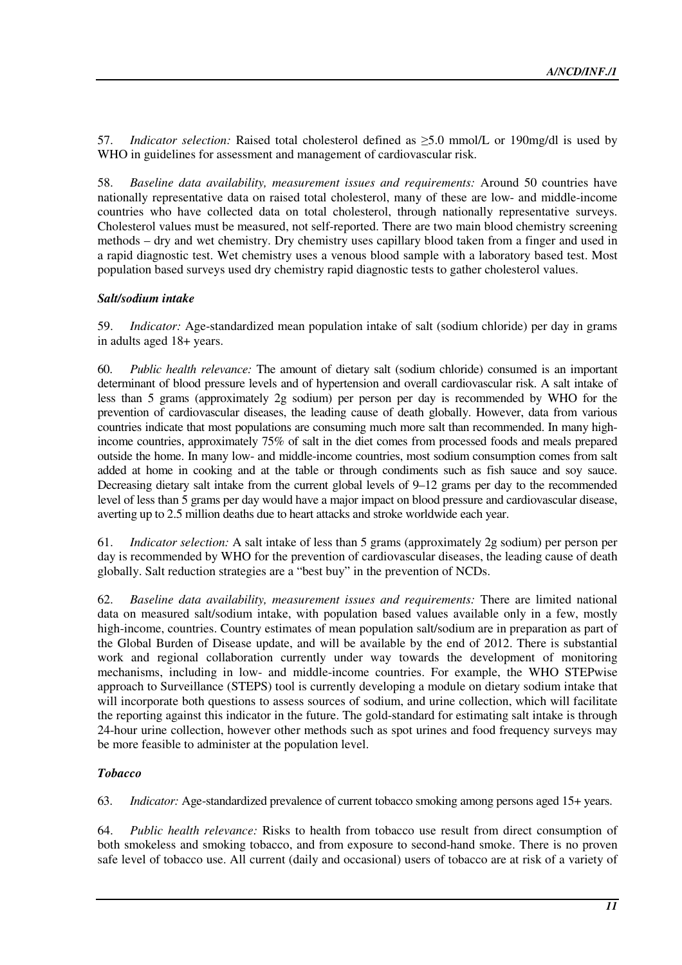57. *Indicator selection:* Raised total cholesterol defined as ≥5.0 mmol/L or 190mg/dl is used by WHO in guidelines for assessment and management of cardiovascular risk.

58. *Baseline data availability, measurement issues and requirements:* Around 50 countries have nationally representative data on raised total cholesterol, many of these are low- and middle-income countries who have collected data on total cholesterol, through nationally representative surveys. Cholesterol values must be measured, not self-reported. There are two main blood chemistry screening methods – dry and wet chemistry. Dry chemistry uses capillary blood taken from a finger and used in a rapid diagnostic test. Wet chemistry uses a venous blood sample with a laboratory based test. Most population based surveys used dry chemistry rapid diagnostic tests to gather cholesterol values.

# *Salt/sodium intake*

59. *Indicator:* Age-standardized mean population intake of salt (sodium chloride) per day in grams in adults aged 18+ years.

60. *Public health relevance:* The amount of dietary salt (sodium chloride) consumed is an important determinant of blood pressure levels and of hypertension and overall cardiovascular risk. A salt intake of less than 5 grams (approximately 2g sodium) per person per day is recommended by WHO for the prevention of cardiovascular diseases, the leading cause of death globally. However, data from various countries indicate that most populations are consuming much more salt than recommended. In many highincome countries, approximately 75% of salt in the diet comes from processed foods and meals prepared outside the home. In many low- and middle-income countries, most sodium consumption comes from salt added at home in cooking and at the table or through condiments such as fish sauce and soy sauce. Decreasing dietary salt intake from the current global levels of 9–12 grams per day to the recommended level of less than 5 grams per day would have a major impact on blood pressure and cardiovascular disease, averting up to 2.5 million deaths due to heart attacks and stroke worldwide each year.

61. *Indicator selection:* A salt intake of less than 5 grams (approximately 2g sodium) per person per day is recommended by WHO for the prevention of cardiovascular diseases, the leading cause of death globally. Salt reduction strategies are a "best buy" in the prevention of NCDs.

62. *Baseline data availability, measurement issues and requirements:* There are limited national data on measured salt/sodium intake, with population based values available only in a few, mostly high-income, countries. Country estimates of mean population salt/sodium are in preparation as part of the Global Burden of Disease update, and will be available by the end of 2012. There is substantial work and regional collaboration currently under way towards the development of monitoring mechanisms, including in low- and middle-income countries. For example, the WHO STEPwise approach to Surveillance (STEPS) tool is currently developing a module on dietary sodium intake that will incorporate both questions to assess sources of sodium, and urine collection, which will facilitate the reporting against this indicator in the future. The gold-standard for estimating salt intake is through 24-hour urine collection, however other methods such as spot urines and food frequency surveys may be more feasible to administer at the population level.

#### *Tobacco*

63. *Indicator:* Age-standardized prevalence of current tobacco smoking among persons aged 15+ years.

64. *Public health relevance:* Risks to health from tobacco use result from direct consumption of both smokeless and smoking tobacco, and from exposure to second-hand smoke. There is no proven safe level of tobacco use. All current (daily and occasional) users of tobacco are at risk of a variety of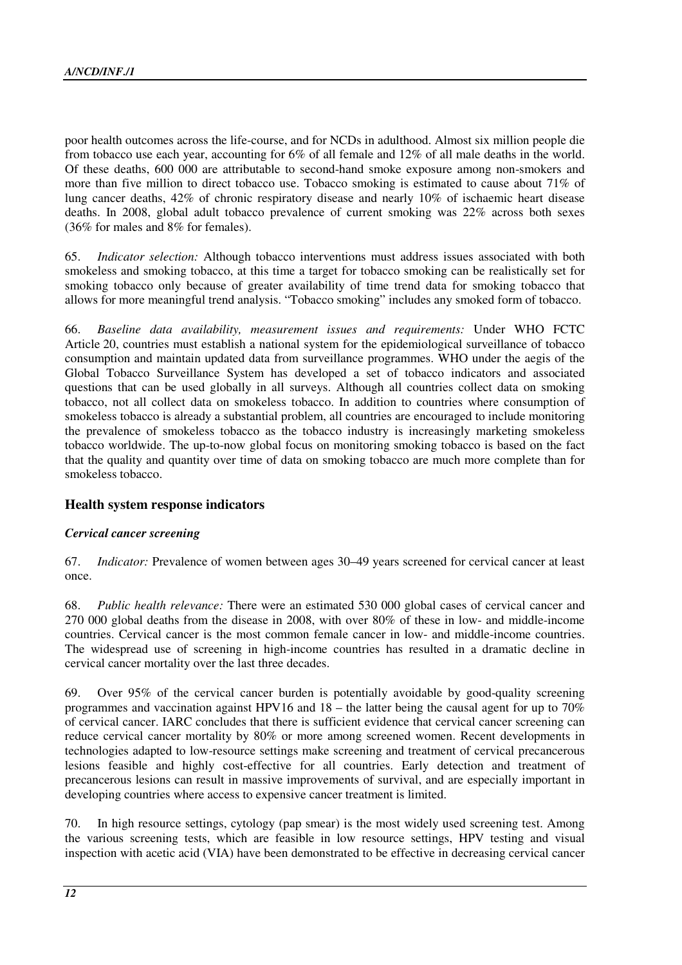poor health outcomes across the life-course, and for NCDs in adulthood. Almost six million people die from tobacco use each year, accounting for 6% of all female and 12% of all male deaths in the world. Of these deaths, 600 000 are attributable to second-hand smoke exposure among non-smokers and more than five million to direct tobacco use. Tobacco smoking is estimated to cause about 71% of lung cancer deaths, 42% of chronic respiratory disease and nearly 10% of ischaemic heart disease deaths. In 2008, global adult tobacco prevalence of current smoking was 22% across both sexes (36% for males and 8% for females).

65. *Indicator selection:* Although tobacco interventions must address issues associated with both smokeless and smoking tobacco, at this time a target for tobacco smoking can be realistically set for smoking tobacco only because of greater availability of time trend data for smoking tobacco that allows for more meaningful trend analysis. "Tobacco smoking" includes any smoked form of tobacco.

66. *Baseline data availability, measurement issues and requirements:* Under WHO FCTC Article 20, countries must establish a national system for the epidemiological surveillance of tobacco consumption and maintain updated data from surveillance programmes. WHO under the aegis of the Global Tobacco Surveillance System has developed a set of tobacco indicators and associated questions that can be used globally in all surveys. Although all countries collect data on smoking tobacco, not all collect data on smokeless tobacco. In addition to countries where consumption of smokeless tobacco is already a substantial problem, all countries are encouraged to include monitoring the prevalence of smokeless tobacco as the tobacco industry is increasingly marketing smokeless tobacco worldwide. The up-to-now global focus on monitoring smoking tobacco is based on the fact that the quality and quantity over time of data on smoking tobacco are much more complete than for smokeless tobacco.

# **Health system response indicators**

#### *Cervical cancer screening*

67. *Indicator:* Prevalence of women between ages 30–49 years screened for cervical cancer at least once.

68. *Public health relevance:* There were an estimated 530 000 global cases of cervical cancer and 270 000 global deaths from the disease in 2008, with over 80% of these in low- and middle-income countries. Cervical cancer is the most common female cancer in low- and middle-income countries. The widespread use of screening in high-income countries has resulted in a dramatic decline in cervical cancer mortality over the last three decades.

69. Over 95% of the cervical cancer burden is potentially avoidable by good-quality screening programmes and vaccination against HPV16 and 18 – the latter being the causal agent for up to 70% of cervical cancer. IARC concludes that there is sufficient evidence that cervical cancer screening can reduce cervical cancer mortality by 80% or more among screened women. Recent developments in technologies adapted to low-resource settings make screening and treatment of cervical precancerous lesions feasible and highly cost-effective for all countries. Early detection and treatment of precancerous lesions can result in massive improvements of survival, and are especially important in developing countries where access to expensive cancer treatment is limited.

70. In high resource settings, cytology (pap smear) is the most widely used screening test. Among the various screening tests, which are feasible in low resource settings, HPV testing and visual inspection with acetic acid (VIA) have been demonstrated to be effective in decreasing cervical cancer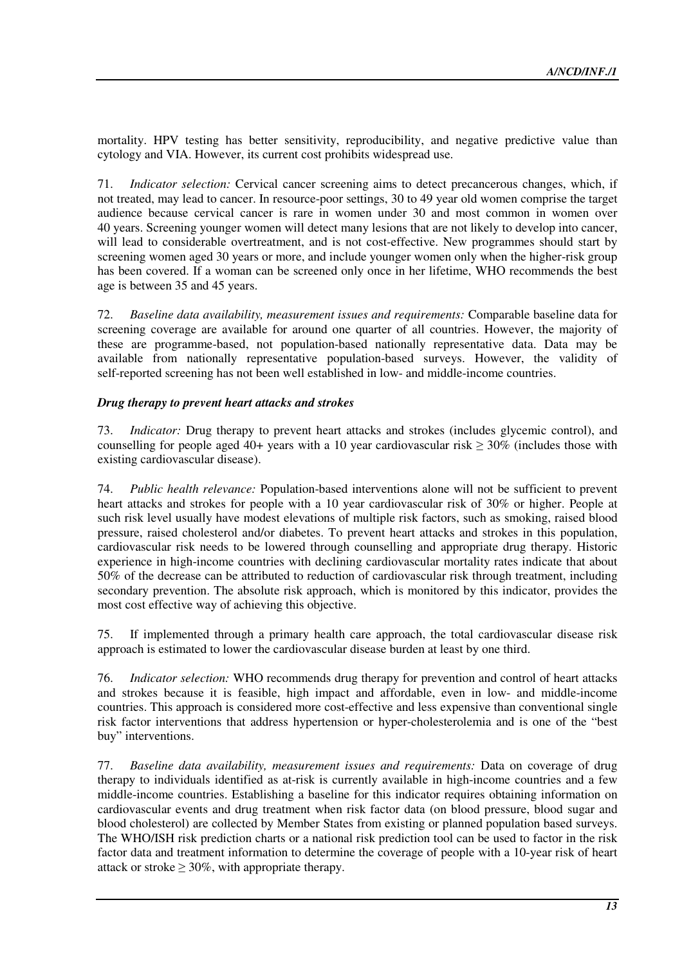mortality. HPV testing has better sensitivity, reproducibility, and negative predictive value than cytology and VIA. However, its current cost prohibits widespread use.

71. *Indicator selection:* Cervical cancer screening aims to detect precancerous changes, which, if not treated, may lead to cancer. In resource-poor settings, 30 to 49 year old women comprise the target audience because cervical cancer is rare in women under 30 and most common in women over 40 years. Screening younger women will detect many lesions that are not likely to develop into cancer, will lead to considerable overtreatment, and is not cost-effective. New programmes should start by screening women aged 30 years or more, and include younger women only when the higher-risk group has been covered. If a woman can be screened only once in her lifetime, WHO recommends the best age is between 35 and 45 years.

72. *Baseline data availability, measurement issues and requirements:* Comparable baseline data for screening coverage are available for around one quarter of all countries. However, the majority of these are programme-based, not population-based nationally representative data. Data may be available from nationally representative population-based surveys. However, the validity of self-reported screening has not been well established in low- and middle-income countries.

#### *Drug therapy to prevent heart attacks and strokes*

73. *Indicator:* Drug therapy to prevent heart attacks and strokes (includes glycemic control), and counselling for people aged 40+ years with a 10 year cardiovascular risk  $\geq 30\%$  (includes those with existing cardiovascular disease).

74. *Public health relevance:* Population-based interventions alone will not be sufficient to prevent heart attacks and strokes for people with a 10 year cardiovascular risk of 30% or higher. People at such risk level usually have modest elevations of multiple risk factors, such as smoking, raised blood pressure, raised cholesterol and/or diabetes. To prevent heart attacks and strokes in this population, cardiovascular risk needs to be lowered through counselling and appropriate drug therapy. Historic experience in high-income countries with declining cardiovascular mortality rates indicate that about 50% of the decrease can be attributed to reduction of cardiovascular risk through treatment, including secondary prevention. The absolute risk approach, which is monitored by this indicator, provides the most cost effective way of achieving this objective.

75. If implemented through a primary health care approach, the total cardiovascular disease risk approach is estimated to lower the cardiovascular disease burden at least by one third.

76. *Indicator selection:* WHO recommends drug therapy for prevention and control of heart attacks and strokes because it is feasible, high impact and affordable, even in low- and middle-income countries. This approach is considered more cost-effective and less expensive than conventional single risk factor interventions that address hypertension or hyper-cholesterolemia and is one of the "best buy" interventions.

77. *Baseline data availability, measurement issues and requirements:* Data on coverage of drug therapy to individuals identified as at-risk is currently available in high-income countries and a few middle-income countries. Establishing a baseline for this indicator requires obtaining information on cardiovascular events and drug treatment when risk factor data (on blood pressure, blood sugar and blood cholesterol) are collected by Member States from existing or planned population based surveys. The WHO/ISH risk prediction charts or a national risk prediction tool can be used to factor in the risk factor data and treatment information to determine the coverage of people with a 10-year risk of heart attack or stroke  $\geq 30\%$ , with appropriate therapy.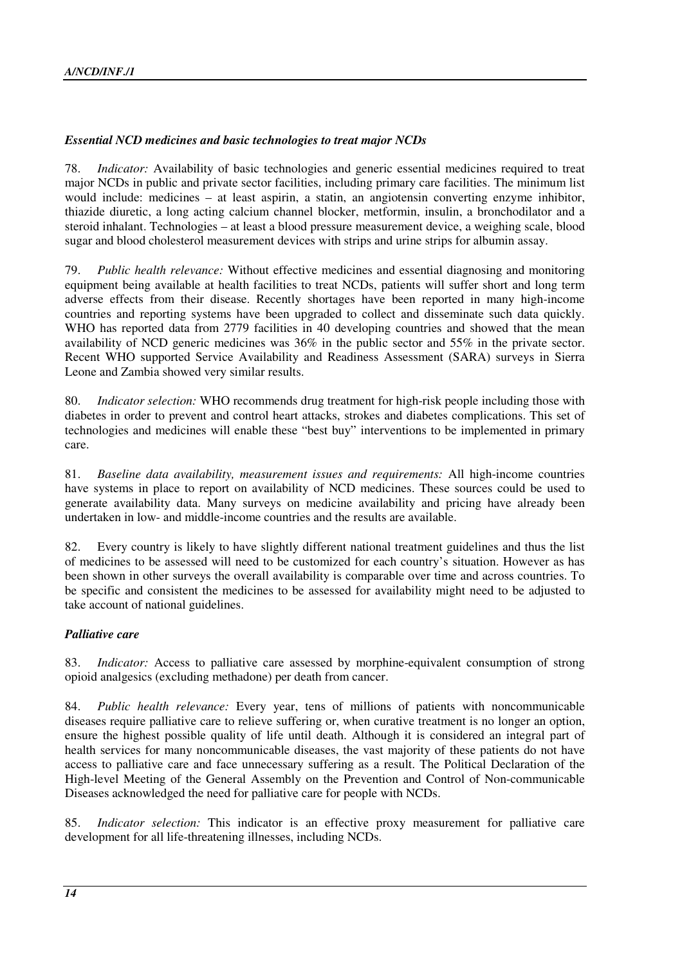## *Essential NCD medicines and basic technologies to treat major NCDs*

78. *Indicator:* Availability of basic technologies and generic essential medicines required to treat major NCDs in public and private sector facilities, including primary care facilities. The minimum list would include: medicines – at least aspirin, a statin, an angiotensin converting enzyme inhibitor, thiazide diuretic, a long acting calcium channel blocker, metformin, insulin, a bronchodilator and a steroid inhalant. Technologies – at least a blood pressure measurement device, a weighing scale, blood sugar and blood cholesterol measurement devices with strips and urine strips for albumin assay.

79. *Public health relevance:* Without effective medicines and essential diagnosing and monitoring equipment being available at health facilities to treat NCDs, patients will suffer short and long term adverse effects from their disease. Recently shortages have been reported in many high-income countries and reporting systems have been upgraded to collect and disseminate such data quickly. WHO has reported data from 2779 facilities in 40 developing countries and showed that the mean availability of NCD generic medicines was 36% in the public sector and 55% in the private sector. Recent WHO supported Service Availability and Readiness Assessment (SARA) surveys in Sierra Leone and Zambia showed very similar results.

80. *Indicator selection:* WHO recommends drug treatment for high-risk people including those with diabetes in order to prevent and control heart attacks, strokes and diabetes complications. This set of technologies and medicines will enable these "best buy" interventions to be implemented in primary care.

81. *Baseline data availability, measurement issues and requirements:* All high-income countries have systems in place to report on availability of NCD medicines. These sources could be used to generate availability data. Many surveys on medicine availability and pricing have already been undertaken in low- and middle-income countries and the results are available.

82. Every country is likely to have slightly different national treatment guidelines and thus the list of medicines to be assessed will need to be customized for each country's situation. However as has been shown in other surveys the overall availability is comparable over time and across countries. To be specific and consistent the medicines to be assessed for availability might need to be adjusted to take account of national guidelines.

#### *Palliative care*

83. *Indicator:* Access to palliative care assessed by morphine-equivalent consumption of strong opioid analgesics (excluding methadone) per death from cancer.

84. *Public health relevance:* Every year, tens of millions of patients with noncommunicable diseases require palliative care to relieve suffering or, when curative treatment is no longer an option, ensure the highest possible quality of life until death. Although it is considered an integral part of health services for many noncommunicable diseases, the vast majority of these patients do not have access to palliative care and face unnecessary suffering as a result. The Political Declaration of the High-level Meeting of the General Assembly on the Prevention and Control of Non-communicable Diseases acknowledged the need for palliative care for people with NCDs.

85. *Indicator selection:* This indicator is an effective proxy measurement for palliative care development for all life-threatening illnesses, including NCDs.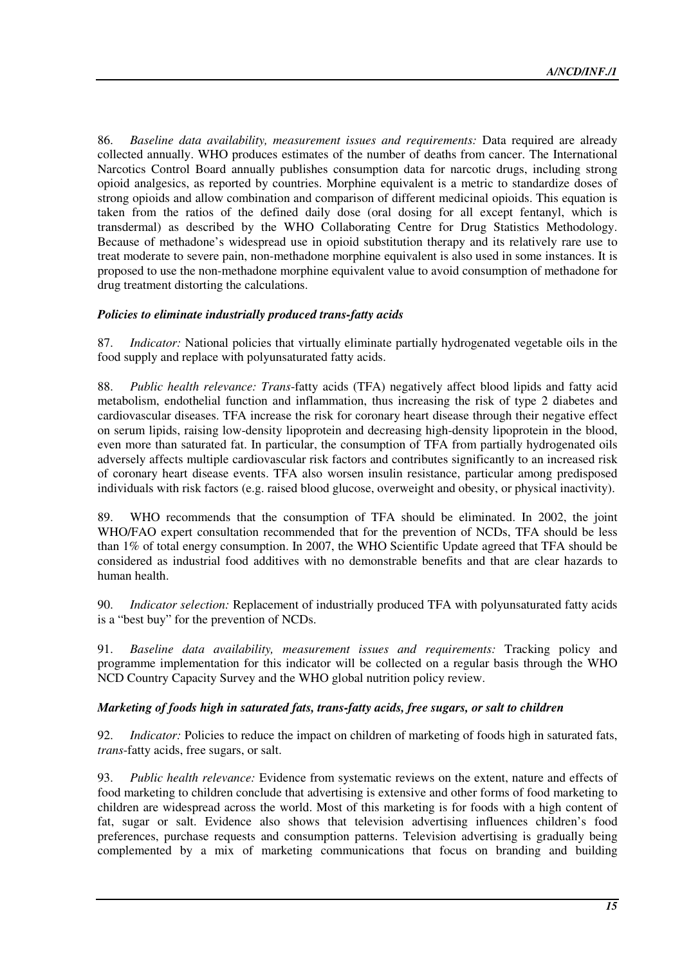86. *Baseline data availability, measurement issues and requirements:* Data required are already collected annually. WHO produces estimates of the number of deaths from cancer. The International Narcotics Control Board annually publishes consumption data for narcotic drugs, including strong opioid analgesics, as reported by countries. Morphine equivalent is a metric to standardize doses of strong opioids and allow combination and comparison of different medicinal opioids. This equation is taken from the ratios of the defined daily dose (oral dosing for all except fentanyl, which is transdermal) as described by the WHO Collaborating Centre for Drug Statistics Methodology. Because of methadone's widespread use in opioid substitution therapy and its relatively rare use to treat moderate to severe pain, non-methadone morphine equivalent is also used in some instances. It is proposed to use the non-methadone morphine equivalent value to avoid consumption of methadone for drug treatment distorting the calculations.

#### *Policies to eliminate industrially produced trans-fatty acids*

87. *Indicator:* National policies that virtually eliminate partially hydrogenated vegetable oils in the food supply and replace with polyunsaturated fatty acids.

88. *Public health relevance: Trans*-fatty acids (TFA) negatively affect blood lipids and fatty acid metabolism, endothelial function and inflammation, thus increasing the risk of type 2 diabetes and cardiovascular diseases. TFA increase the risk for coronary heart disease through their negative effect on serum lipids, raising low-density lipoprotein and decreasing high-density lipoprotein in the blood, even more than saturated fat. In particular, the consumption of TFA from partially hydrogenated oils adversely affects multiple cardiovascular risk factors and contributes significantly to an increased risk of coronary heart disease events. TFA also worsen insulin resistance, particular among predisposed individuals with risk factors (e.g. raised blood glucose, overweight and obesity, or physical inactivity).

89. WHO recommends that the consumption of TFA should be eliminated. In 2002, the joint WHO/FAO expert consultation recommended that for the prevention of NCDs, TFA should be less than 1% of total energy consumption. In 2007, the WHO Scientific Update agreed that TFA should be considered as industrial food additives with no demonstrable benefits and that are clear hazards to human health.

90. *Indicator selection:* Replacement of industrially produced TFA with polyunsaturated fatty acids is a "best buy" for the prevention of NCDs.

91. *Baseline data availability, measurement issues and requirements:* Tracking policy and programme implementation for this indicator will be collected on a regular basis through the WHO NCD Country Capacity Survey and the WHO global nutrition policy review.

#### *Marketing of foods high in saturated fats, trans-fatty acids, free sugars, or salt to children*

92. *Indicator:* Policies to reduce the impact on children of marketing of foods high in saturated fats, *trans*-fatty acids, free sugars, or salt.

93. *Public health relevance:* Evidence from systematic reviews on the extent, nature and effects of food marketing to children conclude that advertising is extensive and other forms of food marketing to children are widespread across the world. Most of this marketing is for foods with a high content of fat, sugar or salt. Evidence also shows that television advertising influences children's food preferences, purchase requests and consumption patterns. Television advertising is gradually being complemented by a mix of marketing communications that focus on branding and building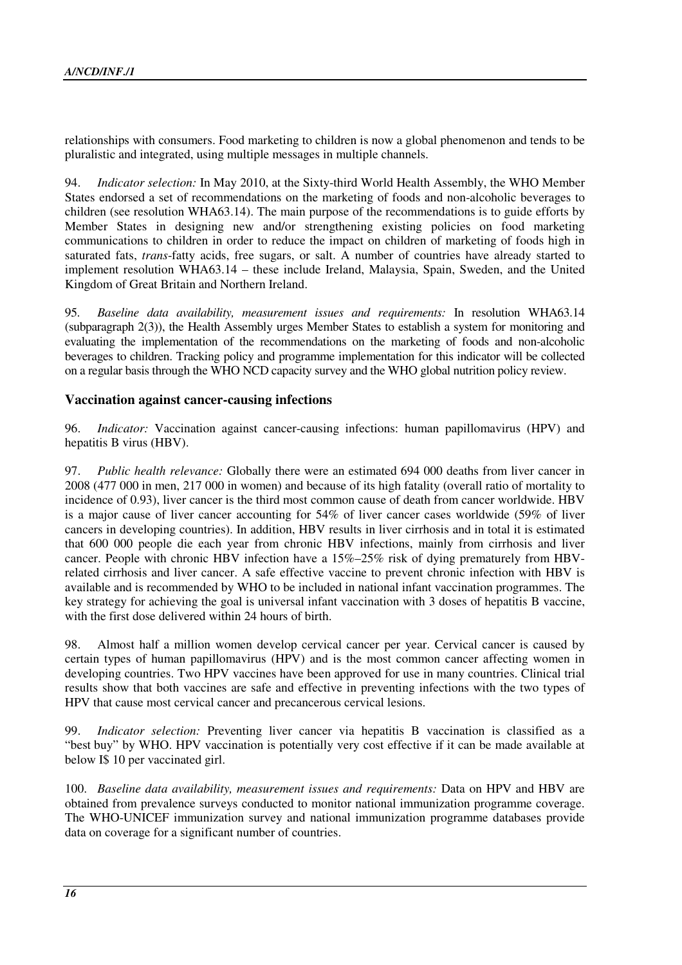relationships with consumers. Food marketing to children is now a global phenomenon and tends to be pluralistic and integrated, using multiple messages in multiple channels.

94. *Indicator selection:* In May 2010, at the Sixty-third World Health Assembly, the WHO Member States endorsed a set of recommendations on the marketing of foods and non-alcoholic beverages to children (see resolution WHA63.14). The main purpose of the recommendations is to guide efforts by Member States in designing new and/or strengthening existing policies on food marketing communications to children in order to reduce the impact on children of marketing of foods high in saturated fats, *trans*-fatty acids, free sugars, or salt. A number of countries have already started to implement resolution WHA63.14 – these include Ireland, Malaysia, Spain, Sweden, and the United Kingdom of Great Britain and Northern Ireland.

95. *Baseline data availability, measurement issues and requirements:* In resolution WHA63.14 (subparagraph 2(3)), the Health Assembly urges Member States to establish a system for monitoring and evaluating the implementation of the recommendations on the marketing of foods and non-alcoholic beverages to children. Tracking policy and programme implementation for this indicator will be collected on a regular basis through the WHO NCD capacity survey and the WHO global nutrition policy review.

# **Vaccination against cancer-causing infections**

96. *Indicator:* Vaccination against cancer-causing infections: human papillomavirus (HPV) and hepatitis B virus (HBV).

97. *Public health relevance:* Globally there were an estimated 694 000 deaths from liver cancer in 2008 (477 000 in men, 217 000 in women) and because of its high fatality (overall ratio of mortality to incidence of 0.93), liver cancer is the third most common cause of death from cancer worldwide. HBV is a major cause of liver cancer accounting for 54% of liver cancer cases worldwide (59% of liver cancers in developing countries). In addition, HBV results in liver cirrhosis and in total it is estimated that 600 000 people die each year from chronic HBV infections, mainly from cirrhosis and liver cancer. People with chronic HBV infection have a 15%–25% risk of dying prematurely from HBVrelated cirrhosis and liver cancer. A safe effective vaccine to prevent chronic infection with HBV is available and is recommended by WHO to be included in national infant vaccination programmes. The key strategy for achieving the goal is universal infant vaccination with 3 doses of hepatitis B vaccine, with the first dose delivered within 24 hours of birth.

98. Almost half a million women develop cervical cancer per year. Cervical cancer is caused by certain types of human papillomavirus (HPV) and is the most common cancer affecting women in developing countries. Two HPV vaccines have been approved for use in many countries. Clinical trial results show that both vaccines are safe and effective in preventing infections with the two types of HPV that cause most cervical cancer and precancerous cervical lesions.

99. *Indicator selection:* Preventing liver cancer via hepatitis B vaccination is classified as a "best buy" by WHO. HPV vaccination is potentially very cost effective if it can be made available at below I\$ 10 per vaccinated girl.

100. *Baseline data availability, measurement issues and requirements:* Data on HPV and HBV are obtained from prevalence surveys conducted to monitor national immunization programme coverage. The WHO-UNICEF immunization survey and national immunization programme databases provide data on coverage for a significant number of countries.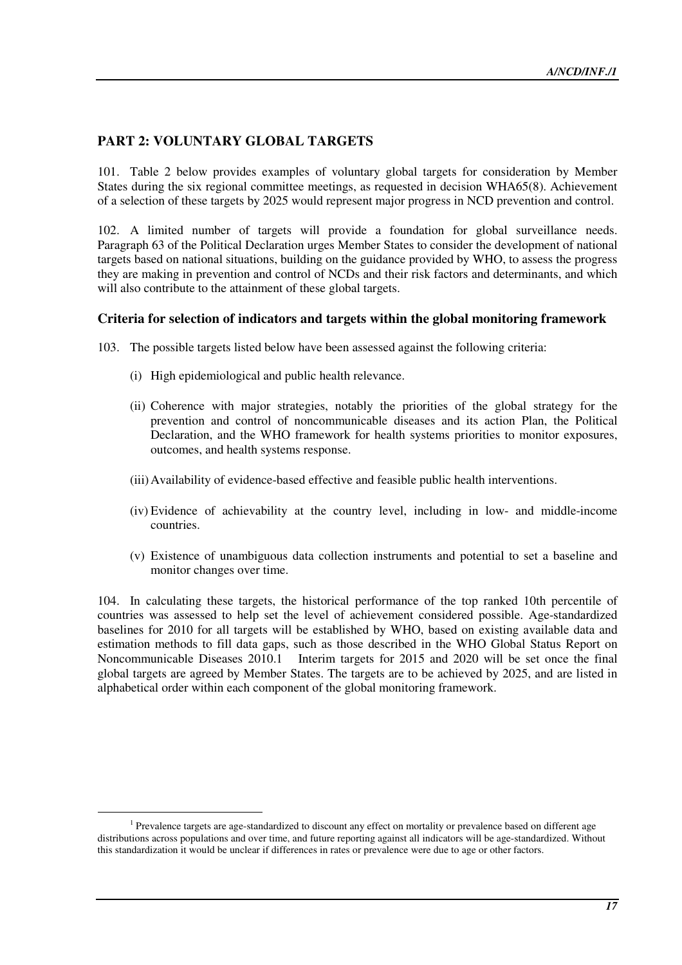# **PART 2: VOLUNTARY GLOBAL TARGETS**

101. Table 2 below provides examples of voluntary global targets for consideration by Member States during the six regional committee meetings, as requested in decision WHA65(8). Achievement of a selection of these targets by 2025 would represent major progress in NCD prevention and control.

102. A limited number of targets will provide a foundation for global surveillance needs. Paragraph 63 of the Political Declaration urges Member States to consider the development of national targets based on national situations, building on the guidance provided by WHO, to assess the progress they are making in prevention and control of NCDs and their risk factors and determinants, and which will also contribute to the attainment of these global targets.

# **Criteria for selection of indicators and targets within the global monitoring framework**

103. The possible targets listed below have been assessed against the following criteria:

(i) High epidemiological and public health relevance.

 $\overline{a}$ 

- (ii) Coherence with major strategies, notably the priorities of the global strategy for the prevention and control of noncommunicable diseases and its action Plan, the Political Declaration, and the WHO framework for health systems priorities to monitor exposures, outcomes, and health systems response.
- (iii)Availability of evidence-based effective and feasible public health interventions.
- (iv) Evidence of achievability at the country level, including in low- and middle-income countries.
- (v) Existence of unambiguous data collection instruments and potential to set a baseline and monitor changes over time.

104. In calculating these targets, the historical performance of the top ranked 10th percentile of countries was assessed to help set the level of achievement considered possible. Age-standardized baselines for 2010 for all targets will be established by WHO, based on existing available data and estimation methods to fill data gaps, such as those described in the WHO Global Status Report on Noncommunicable Diseases 2010.1 Interim targets for 2015 and 2020 will be set once the final global targets are agreed by Member States. The targets are to be achieved by 2025, and are listed in alphabetical order within each component of the global monitoring framework.

<sup>&</sup>lt;sup>1</sup> Prevalence targets are age-standardized to discount any effect on mortality or prevalence based on different age distributions across populations and over time, and future reporting against all indicators will be age-standardized. Without this standardization it would be unclear if differences in rates or prevalence were due to age or other factors.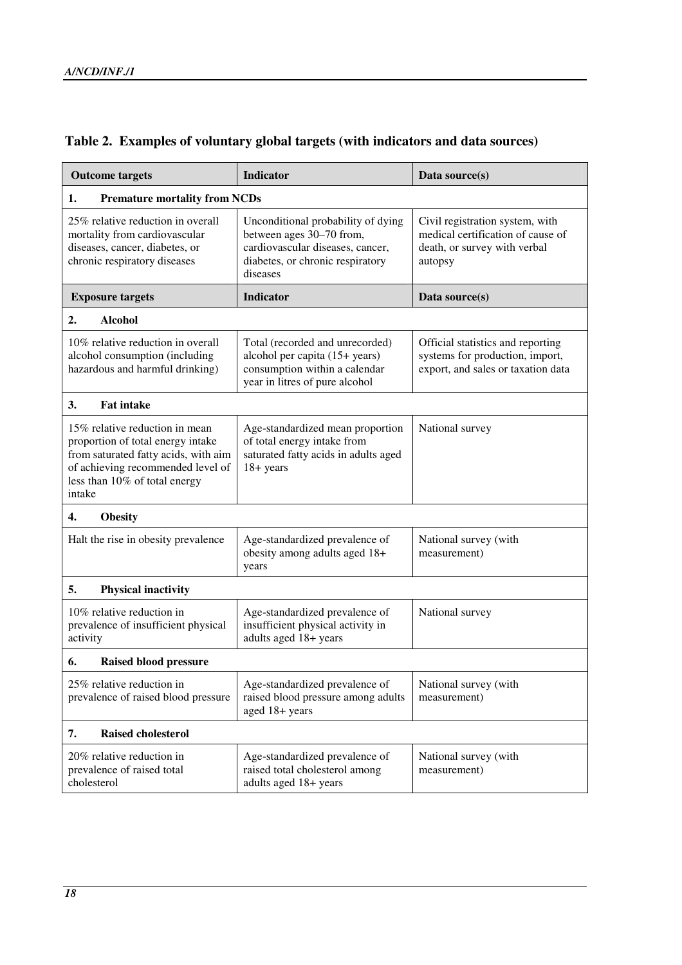| <b>Outcome targets</b>                                                                                                                                                                      | <b>Indicator</b>                                                                                                                                   | Data source(s)                                                                                                  |  |  |  |  |  |
|---------------------------------------------------------------------------------------------------------------------------------------------------------------------------------------------|----------------------------------------------------------------------------------------------------------------------------------------------------|-----------------------------------------------------------------------------------------------------------------|--|--|--|--|--|
| <b>Premature mortality from NCDs</b><br>1.                                                                                                                                                  |                                                                                                                                                    |                                                                                                                 |  |  |  |  |  |
| 25% relative reduction in overall<br>mortality from cardiovascular<br>diseases, cancer, diabetes, or<br>chronic respiratory diseases                                                        | Unconditional probability of dying<br>between ages 30–70 from,<br>cardiovascular diseases, cancer,<br>diabetes, or chronic respiratory<br>diseases | Civil registration system, with<br>medical certification of cause of<br>death, or survey with verbal<br>autopsy |  |  |  |  |  |
| <b>Exposure targets</b>                                                                                                                                                                     | <b>Indicator</b>                                                                                                                                   | Data source(s)                                                                                                  |  |  |  |  |  |
| <b>Alcohol</b><br>2.                                                                                                                                                                        |                                                                                                                                                    |                                                                                                                 |  |  |  |  |  |
| 10% relative reduction in overall<br>alcohol consumption (including<br>hazardous and harmful drinking)                                                                                      | Total (recorded and unrecorded)<br>alcohol per capita (15+ years)<br>consumption within a calendar<br>year in litres of pure alcohol               | Official statistics and reporting<br>systems for production, import,<br>export, and sales or taxation data      |  |  |  |  |  |
| 3.<br><b>Fat intake</b>                                                                                                                                                                     |                                                                                                                                                    |                                                                                                                 |  |  |  |  |  |
| 15% relative reduction in mean<br>proportion of total energy intake<br>from saturated fatty acids, with aim<br>of achieving recommended level of<br>less than 10% of total energy<br>intake | Age-standardized mean proportion<br>of total energy intake from<br>saturated fatty acids in adults aged<br>$18 + years$                            | National survey                                                                                                 |  |  |  |  |  |
| <b>Obesity</b><br>4.                                                                                                                                                                        |                                                                                                                                                    |                                                                                                                 |  |  |  |  |  |
| Halt the rise in obesity prevalence                                                                                                                                                         | Age-standardized prevalence of<br>obesity among adults aged 18+<br>years                                                                           | National survey (with<br>measurement)                                                                           |  |  |  |  |  |
| 5.<br><b>Physical inactivity</b>                                                                                                                                                            |                                                                                                                                                    |                                                                                                                 |  |  |  |  |  |
| 10% relative reduction in<br>prevalence of insufficient physical<br>activity                                                                                                                | Age-standardized prevalence of<br>insufficient physical activity in<br>adults aged 18+ years                                                       | National survey                                                                                                 |  |  |  |  |  |
| <b>Raised blood pressure</b><br>6.                                                                                                                                                          |                                                                                                                                                    |                                                                                                                 |  |  |  |  |  |
| 25% relative reduction in<br>prevalence of raised blood pressure                                                                                                                            | Age-standardized prevalence of<br>raised blood pressure among adults<br>aged 18+ years                                                             | National survey (with<br>measurement)                                                                           |  |  |  |  |  |
| 7.<br><b>Raised cholesterol</b>                                                                                                                                                             |                                                                                                                                                    |                                                                                                                 |  |  |  |  |  |
| 20% relative reduction in<br>prevalence of raised total<br>cholesterol                                                                                                                      | Age-standardized prevalence of<br>raised total cholesterol among<br>adults aged 18+ years                                                          | National survey (with<br>measurement)                                                                           |  |  |  |  |  |

# **Table 2. Examples of voluntary global targets (with indicators and data sources)**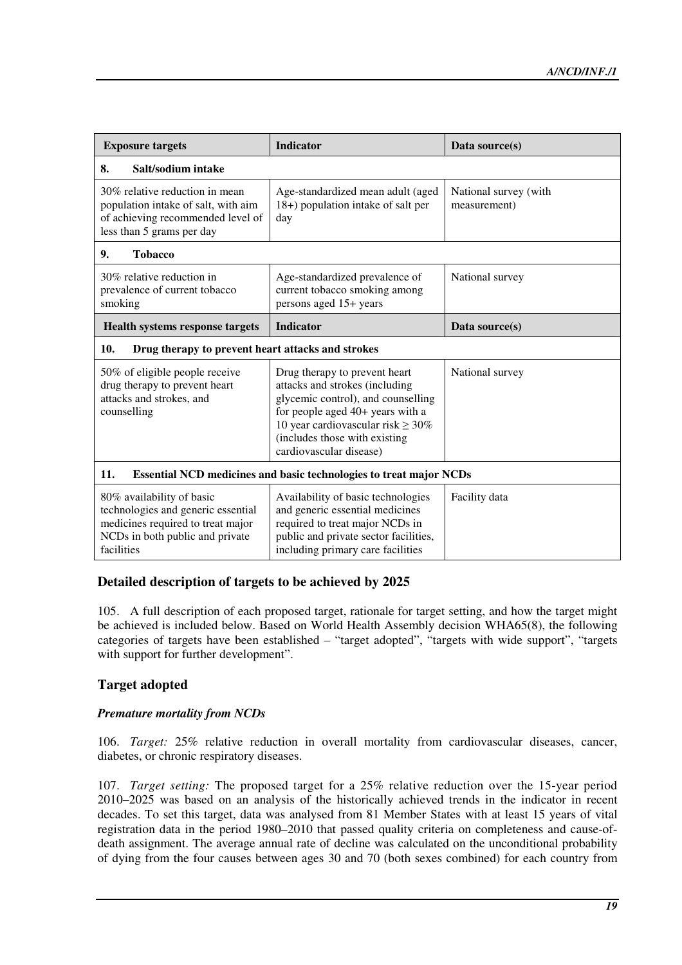| <b>Exposure targets</b>                                                                                                                               | <b>Indicator</b>                                                                                                                                                                                                                                 | Data source $(s)$                     |  |  |  |  |
|-------------------------------------------------------------------------------------------------------------------------------------------------------|--------------------------------------------------------------------------------------------------------------------------------------------------------------------------------------------------------------------------------------------------|---------------------------------------|--|--|--|--|
| Salt/sodium intake<br>8.                                                                                                                              |                                                                                                                                                                                                                                                  |                                       |  |  |  |  |
| 30% relative reduction in mean<br>population intake of salt, with aim<br>of achieving recommended level of<br>less than 5 grams per day               | Age-standardized mean adult (aged<br>18+) population intake of salt per<br>day                                                                                                                                                                   | National survey (with<br>measurement) |  |  |  |  |
| 9.<br><b>Tobacco</b>                                                                                                                                  |                                                                                                                                                                                                                                                  |                                       |  |  |  |  |
| 30% relative reduction in<br>prevalence of current tobacco<br>smoking                                                                                 | Age-standardized prevalence of<br>current tobacco smoking among<br>persons aged 15+ years                                                                                                                                                        | National survey                       |  |  |  |  |
| <b>Health systems response targets</b><br><b>Indicator</b>                                                                                            |                                                                                                                                                                                                                                                  | Data source(s)                        |  |  |  |  |
| 10.<br>Drug therapy to prevent heart attacks and strokes                                                                                              |                                                                                                                                                                                                                                                  |                                       |  |  |  |  |
| 50% of eligible people receive<br>drug therapy to prevent heart<br>attacks and strokes, and<br>counselling                                            | Drug therapy to prevent heart<br>attacks and strokes (including<br>glycemic control), and counselling<br>for people aged 40+ years with a<br>10 year cardiovascular risk $\geq 30\%$<br>(includes those with existing<br>cardiovascular disease) | National survey                       |  |  |  |  |
| 11.<br><b>Essential NCD medicines and basic technologies to treat major NCDs</b>                                                                      |                                                                                                                                                                                                                                                  |                                       |  |  |  |  |
| 80% availability of basic<br>technologies and generic essential<br>medicines required to treat major<br>NCDs in both public and private<br>facilities | Availability of basic technologies<br>and generic essential medicines<br>required to treat major NCDs in<br>public and private sector facilities,<br>including primary care facilities                                                           | Facility data                         |  |  |  |  |

# **Detailed description of targets to be achieved by 2025**

105. A full description of each proposed target, rationale for target setting, and how the target might be achieved is included below. Based on World Health Assembly decision WHA65(8), the following categories of targets have been established – "target adopted", "targets with wide support", "targets with support for further development".

# **Target adopted**

# *Premature mortality from NCDs*

106. *Target:* 25% relative reduction in overall mortality from cardiovascular diseases, cancer, diabetes, or chronic respiratory diseases.

107. *Target setting:* The proposed target for a 25% relative reduction over the 15-year period 2010–2025 was based on an analysis of the historically achieved trends in the indicator in recent decades. To set this target, data was analysed from 81 Member States with at least 15 years of vital registration data in the period 1980–2010 that passed quality criteria on completeness and cause-ofdeath assignment. The average annual rate of decline was calculated on the unconditional probability of dying from the four causes between ages 30 and 70 (both sexes combined) for each country from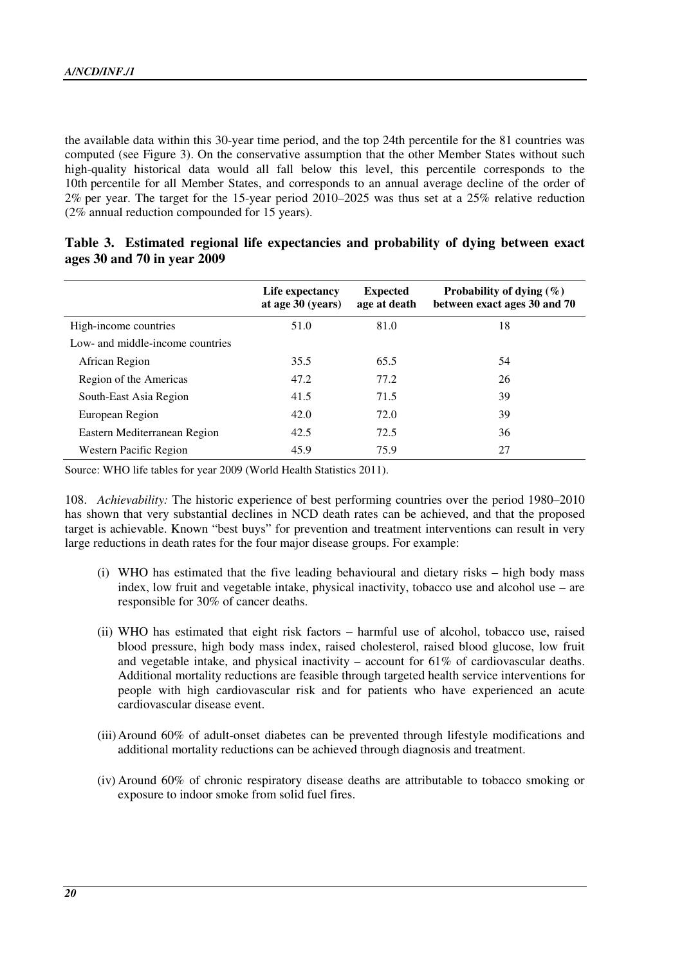the available data within this 30-year time period, and the top 24th percentile for the 81 countries was computed (see Figure 3). On the conservative assumption that the other Member States without such high-quality historical data would all fall below this level, this percentile corresponds to the 10th percentile for all Member States, and corresponds to an annual average decline of the order of 2% per year. The target for the 15-year period 2010–2025 was thus set at a 25% relative reduction (2% annual reduction compounded for 15 years).

|                                  | Life expectancy<br>at age 30 (years) | <b>Expected</b><br>age at death | Probability of dying $(\% )$<br>between exact ages 30 and 70 |  |  |
|----------------------------------|--------------------------------------|---------------------------------|--------------------------------------------------------------|--|--|
| High-income countries            | 51.0                                 | 81.0                            | 18                                                           |  |  |
| Low- and middle-income countries |                                      |                                 |                                                              |  |  |
| African Region                   | 35.5                                 | 65.5                            | 54                                                           |  |  |
| Region of the Americas           | 47.2                                 | 77.2                            | 26                                                           |  |  |
| South-East Asia Region           | 41.5                                 | 71.5                            | 39                                                           |  |  |
| European Region                  | 42.0                                 | 72.0                            | 39                                                           |  |  |
| Eastern Mediterranean Region     | 42.5                                 | 72.5                            | 36                                                           |  |  |
| Western Pacific Region           | 45.9                                 | 75.9                            | 27                                                           |  |  |

| Table 3. Estimated regional life expectancies and probability of dying between exact |  |  |  |
|--------------------------------------------------------------------------------------|--|--|--|
| ages 30 and 70 in year 2009                                                          |  |  |  |

Source: WHO life tables for year 2009 (World Health Statistics 2011).

108. *Achievability:* The historic experience of best performing countries over the period 1980–2010 has shown that very substantial declines in NCD death rates can be achieved, and that the proposed target is achievable. Known "best buys" for prevention and treatment interventions can result in very large reductions in death rates for the four major disease groups. For example:

- (i) WHO has estimated that the five leading behavioural and dietary risks high body mass index, low fruit and vegetable intake, physical inactivity, tobacco use and alcohol use – are responsible for 30% of cancer deaths.
- (ii) WHO has estimated that eight risk factors harmful use of alcohol, tobacco use, raised blood pressure, high body mass index, raised cholesterol, raised blood glucose, low fruit and vegetable intake, and physical inactivity – account for 61% of cardiovascular deaths. Additional mortality reductions are feasible through targeted health service interventions for people with high cardiovascular risk and for patients who have experienced an acute cardiovascular disease event.
- (iii)Around 60% of adult-onset diabetes can be prevented through lifestyle modifications and additional mortality reductions can be achieved through diagnosis and treatment.
- (iv) Around 60% of chronic respiratory disease deaths are attributable to tobacco smoking or exposure to indoor smoke from solid fuel fires.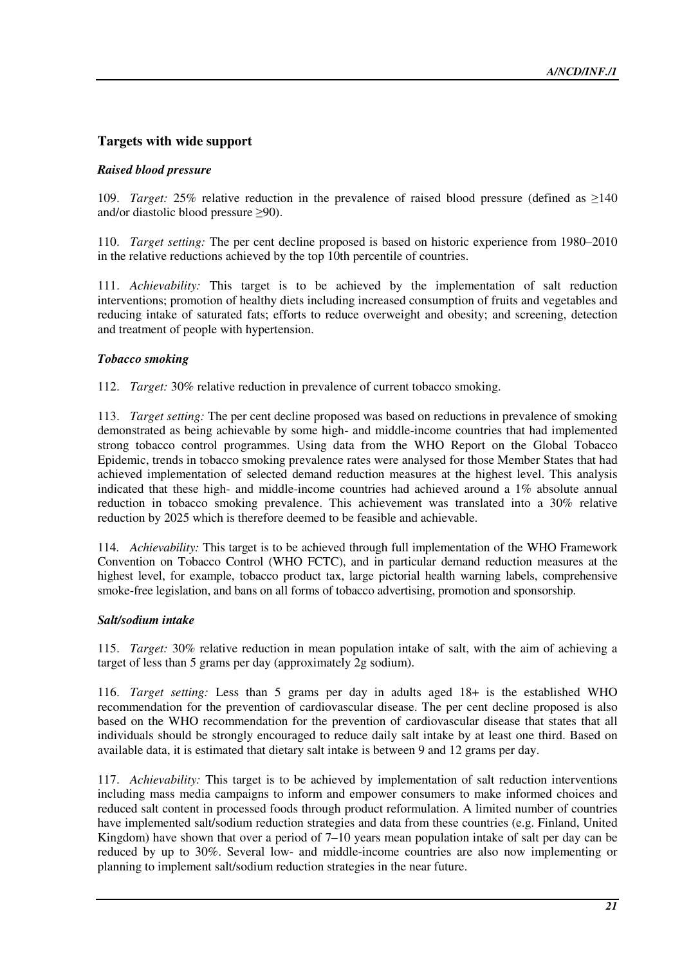# **Targets with wide support**

#### *Raised blood pressure*

109. *Target:* 25% relative reduction in the prevalence of raised blood pressure (defined as ≥140 and/or diastolic blood pressure ≥90).

110. *Target setting:* The per cent decline proposed is based on historic experience from 1980–2010 in the relative reductions achieved by the top 10th percentile of countries.

111. *Achievability:* This target is to be achieved by the implementation of salt reduction interventions; promotion of healthy diets including increased consumption of fruits and vegetables and reducing intake of saturated fats; efforts to reduce overweight and obesity; and screening, detection and treatment of people with hypertension.

#### *Tobacco smoking*

112. *Target:* 30% relative reduction in prevalence of current tobacco smoking.

113. *Target setting:* The per cent decline proposed was based on reductions in prevalence of smoking demonstrated as being achievable by some high- and middle-income countries that had implemented strong tobacco control programmes. Using data from the WHO Report on the Global Tobacco Epidemic, trends in tobacco smoking prevalence rates were analysed for those Member States that had achieved implementation of selected demand reduction measures at the highest level. This analysis indicated that these high- and middle-income countries had achieved around a 1% absolute annual reduction in tobacco smoking prevalence. This achievement was translated into a 30% relative reduction by 2025 which is therefore deemed to be feasible and achievable.

114. *Achievability:* This target is to be achieved through full implementation of the WHO Framework Convention on Tobacco Control (WHO FCTC), and in particular demand reduction measures at the highest level, for example, tobacco product tax, large pictorial health warning labels, comprehensive smoke-free legislation, and bans on all forms of tobacco advertising, promotion and sponsorship.

#### *Salt/sodium intake*

115. *Target:* 30% relative reduction in mean population intake of salt, with the aim of achieving a target of less than 5 grams per day (approximately 2g sodium).

116. *Target setting:* Less than 5 grams per day in adults aged 18+ is the established WHO recommendation for the prevention of cardiovascular disease. The per cent decline proposed is also based on the WHO recommendation for the prevention of cardiovascular disease that states that all individuals should be strongly encouraged to reduce daily salt intake by at least one third. Based on available data, it is estimated that dietary salt intake is between 9 and 12 grams per day.

117. *Achievability:* This target is to be achieved by implementation of salt reduction interventions including mass media campaigns to inform and empower consumers to make informed choices and reduced salt content in processed foods through product reformulation. A limited number of countries have implemented salt/sodium reduction strategies and data from these countries (e.g. Finland, United Kingdom) have shown that over a period of 7–10 years mean population intake of salt per day can be reduced by up to 30%. Several low- and middle-income countries are also now implementing or planning to implement salt/sodium reduction strategies in the near future.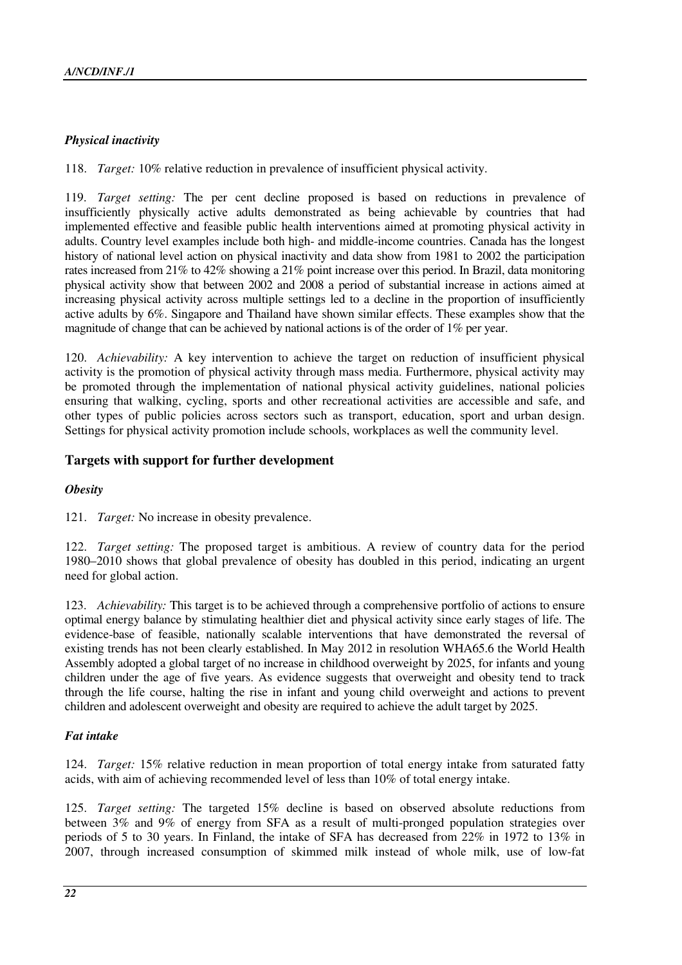## *Physical inactivity*

118. *Target:* 10% relative reduction in prevalence of insufficient physical activity.

119. *Target setting:* The per cent decline proposed is based on reductions in prevalence of insufficiently physically active adults demonstrated as being achievable by countries that had implemented effective and feasible public health interventions aimed at promoting physical activity in adults. Country level examples include both high- and middle-income countries. Canada has the longest history of national level action on physical inactivity and data show from 1981 to 2002 the participation rates increased from 21% to 42% showing a 21% point increase over this period. In Brazil, data monitoring physical activity show that between 2002 and 2008 a period of substantial increase in actions aimed at increasing physical activity across multiple settings led to a decline in the proportion of insufficiently active adults by 6%. Singapore and Thailand have shown similar effects. These examples show that the magnitude of change that can be achieved by national actions is of the order of 1% per year.

120. *Achievability:* A key intervention to achieve the target on reduction of insufficient physical activity is the promotion of physical activity through mass media. Furthermore, physical activity may be promoted through the implementation of national physical activity guidelines, national policies ensuring that walking, cycling, sports and other recreational activities are accessible and safe, and other types of public policies across sectors such as transport, education, sport and urban design. Settings for physical activity promotion include schools, workplaces as well the community level.

# **Targets with support for further development**

#### *Obesity*

121. *Target:* No increase in obesity prevalence.

122. *Target setting:* The proposed target is ambitious. A review of country data for the period 1980–2010 shows that global prevalence of obesity has doubled in this period, indicating an urgent need for global action.

123. *Achievability:* This target is to be achieved through a comprehensive portfolio of actions to ensure optimal energy balance by stimulating healthier diet and physical activity since early stages of life. The evidence-base of feasible, nationally scalable interventions that have demonstrated the reversal of existing trends has not been clearly established. In May 2012 in resolution WHA65.6 the World Health Assembly adopted a global target of no increase in childhood overweight by 2025, for infants and young children under the age of five years. As evidence suggests that overweight and obesity tend to track through the life course, halting the rise in infant and young child overweight and actions to prevent children and adolescent overweight and obesity are required to achieve the adult target by 2025.

#### *Fat intake*

124. *Target:* 15% relative reduction in mean proportion of total energy intake from saturated fatty acids, with aim of achieving recommended level of less than 10% of total energy intake.

125. *Target setting:* The targeted 15% decline is based on observed absolute reductions from between 3% and 9% of energy from SFA as a result of multi-pronged population strategies over periods of 5 to 30 years. In Finland, the intake of SFA has decreased from 22% in 1972 to 13% in 2007, through increased consumption of skimmed milk instead of whole milk, use of low-fat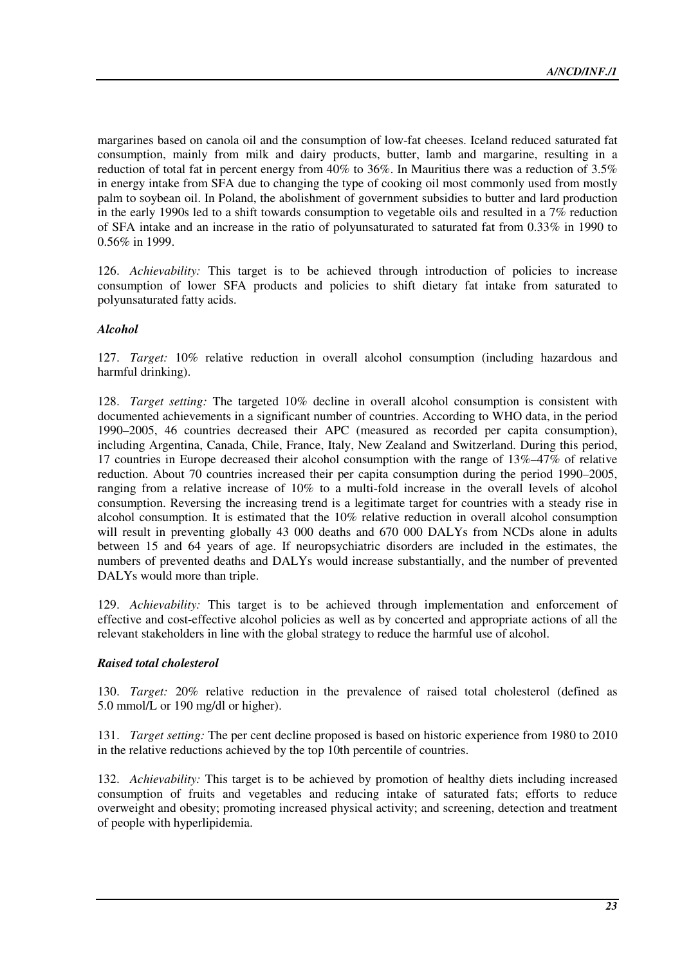margarines based on canola oil and the consumption of low-fat cheeses. Iceland reduced saturated fat consumption, mainly from milk and dairy products, butter, lamb and margarine, resulting in a reduction of total fat in percent energy from 40% to 36%. In Mauritius there was a reduction of 3.5% in energy intake from SFA due to changing the type of cooking oil most commonly used from mostly palm to soybean oil. In Poland, the abolishment of government subsidies to butter and lard production in the early 1990s led to a shift towards consumption to vegetable oils and resulted in a  $7\%$  reduction of SFA intake and an increase in the ratio of polyunsaturated to saturated fat from 0.33% in 1990 to 0.56% in 1999.

126. *Achievability:* This target is to be achieved through introduction of policies to increase consumption of lower SFA products and policies to shift dietary fat intake from saturated to polyunsaturated fatty acids.

#### *Alcohol*

127. *Target:* 10% relative reduction in overall alcohol consumption (including hazardous and harmful drinking).

128. *Target setting:* The targeted 10% decline in overall alcohol consumption is consistent with documented achievements in a significant number of countries. According to WHO data, in the period 1990–2005, 46 countries decreased their APC (measured as recorded per capita consumption), including Argentina, Canada, Chile, France, Italy, New Zealand and Switzerland. During this period, 17 countries in Europe decreased their alcohol consumption with the range of 13%–47% of relative reduction. About 70 countries increased their per capita consumption during the period 1990–2005, ranging from a relative increase of 10% to a multi-fold increase in the overall levels of alcohol consumption. Reversing the increasing trend is a legitimate target for countries with a steady rise in alcohol consumption. It is estimated that the 10% relative reduction in overall alcohol consumption will result in preventing globally 43 000 deaths and 670 000 DALYs from NCDs alone in adults between 15 and 64 years of age. If neuropsychiatric disorders are included in the estimates, the numbers of prevented deaths and DALYs would increase substantially, and the number of prevented DALYs would more than triple.

129. *Achievability:* This target is to be achieved through implementation and enforcement of effective and cost-effective alcohol policies as well as by concerted and appropriate actions of all the relevant stakeholders in line with the global strategy to reduce the harmful use of alcohol.

#### *Raised total cholesterol*

130. *Target:* 20% relative reduction in the prevalence of raised total cholesterol (defined as 5.0 mmol/L or 190 mg/dl or higher).

131. *Target setting:* The per cent decline proposed is based on historic experience from 1980 to 2010 in the relative reductions achieved by the top 10th percentile of countries.

132. *Achievability:* This target is to be achieved by promotion of healthy diets including increased consumption of fruits and vegetables and reducing intake of saturated fats; efforts to reduce overweight and obesity; promoting increased physical activity; and screening, detection and treatment of people with hyperlipidemia.